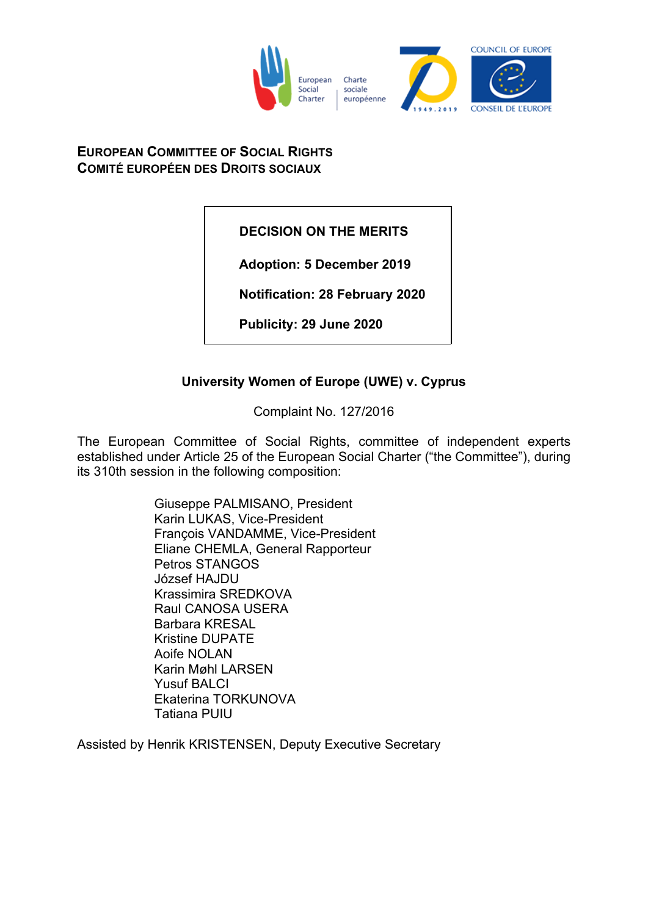

# **EUROPEAN COMMITTEE OF SOCIAL RIGHTS COMITÉ EUROPÉEN DES DROITS SOCIAUX**

**DECISION ON THE MERITS**

**Adoption: 5 December 2019**

**Notification: 28 February 2020**

**Publicity: 29 June 2020**

# **University Women of Europe (UWE) v. Cyprus**

Complaint No. 127/2016

The European Committee of Social Rights, committee of independent experts established under Article 25 of the European Social Charter ("the Committee"), during its 310th session in the following composition:

> Giuseppe PALMISANO, President Karin LUKAS, Vice-President François VANDAMME, Vice-President Eliane CHEMLA, General Rapporteur Petros STANGOS József HAJDU Krassimira SREDKOVA Raul CANOSA USERA Barbara KRESAL Kristine DUPATE Aoife NOLAN Karin Møhl LARSEN Yusuf BALCI Ekaterina TORKUNOVA Tatiana PUIU

Assisted by Henrik KRISTENSEN, Deputy Executive Secretary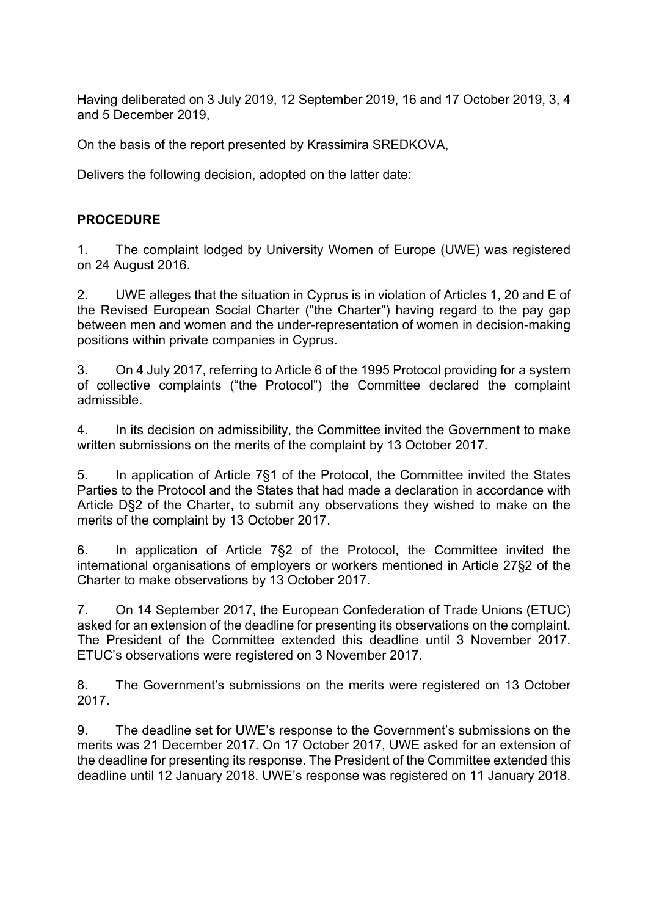Having deliberated on 3 July 2019, 12 September 2019, 16 and 17 October 2019, 3, 4 and 5 December 2019,

On the basis of the report presented by Krassimira SREDKOVA,

Delivers the following decision, adopted on the latter date:

# **PROCEDURE**

1. The complaint lodged by University Women of Europe (UWE) was registered on 24 August 2016.

2. UWE alleges that the situation in Cyprus is in violation of Articles 1, 20 and E of the Revised European Social Charter ("the Charter") having regard to the pay gap between men and women and the under-representation of women in decision-making positions within private companies in Cyprus.

3. On 4 July 2017, referring to Article 6 of the 1995 Protocol providing for a system of collective complaints ("the Protocol") the Committee declared the complaint admissible.

4. In its decision on admissibility, the Committee invited the Government to make written submissions on the merits of the complaint by 13 October 2017.

5. In application of Article 7§1 of the Protocol, the Committee invited the States Parties to the Protocol and the States that had made a declaration in accordance with Article D§2 of the Charter, to submit any observations they wished to make on the merits of the complaint by 13 October 2017.

6. In application of Article 7§2 of the Protocol, the Committee invited the international organisations of employers or workers mentioned in Article 27§2 of the Charter to make observations by 13 October 2017.

7. On 14 September 2017, the European Confederation of Trade Unions (ETUC) asked for an extension of the deadline for presenting its observations on the complaint. The President of the Committee extended this deadline until 3 November 2017. ETUC's observations were registered on 3 November 2017.

8. The Government's submissions on the merits were registered on 13 October 2017.

9. The deadline set for UWE's response to the Government's submissions on the merits was 21 December 2017. On 17 October 2017, UWE asked for an extension of the deadline for presenting its response. The President of the Committee extended this deadline until 12 January 2018. UWE's response was registered on 11 January 2018.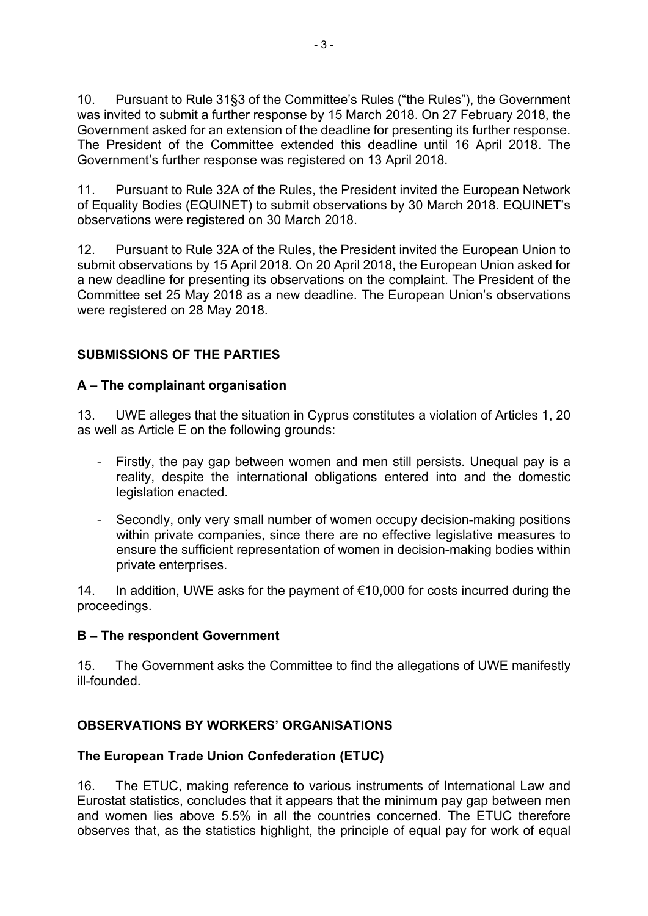10. Pursuant to Rule 31§3 of the Committee's Rules ("the Rules"), the Government was invited to submit a further response by 15 March 2018. On 27 February 2018, the Government asked for an extension of the deadline for presenting its further response. The President of the Committee extended this deadline until 16 April 2018. The Government's further response was registered on 13 April 2018.

11. Pursuant to Rule 32A of the Rules, the President invited the European Network of Equality Bodies (EQUINET) to submit observations by 30 March 2018. EQUINET's observations were registered on 30 March 2018.

12. Pursuant to Rule 32A of the Rules, the President invited the European Union to submit observations by 15 April 2018. On 20 April 2018, the European Union asked for a new deadline for presenting its observations on the complaint. The President of the Committee set 25 May 2018 as a new deadline. The European Union's observations were registered on 28 May 2018.

# **SUBMISSIONS OF THE PARTIES**

# **A – The complainant organisation**

13. UWE alleges that the situation in Cyprus constitutes a violation of Articles 1, 20 as well as Article E on the following grounds:

- Firstly, the pay gap between women and men still persists. Unequal pay is a reality, despite the international obligations entered into and the domestic legislation enacted.
- Secondly, only very small number of women occupy decision-making positions within private companies, since there are no effective legislative measures to ensure the sufficient representation of women in decision-making bodies within private enterprises.

14. In addition, UWE asks for the payment of €10,000 for costs incurred during the proceedings.

### **B – The respondent Government**

15. The Government asks the Committee to find the allegations of UWE manifestly ill-founded.

### **OBSERVATIONS BY WORKERS' ORGANISATIONS**

### **The European Trade Union Confederation (ETUC)**

16. The ETUC, making reference to various instruments of International Law and Eurostat statistics, concludes that it appears that the minimum pay gap between men and women lies above 5.5% in all the countries concerned. The ETUC therefore observes that, as the statistics highlight, the principle of equal pay for work of equal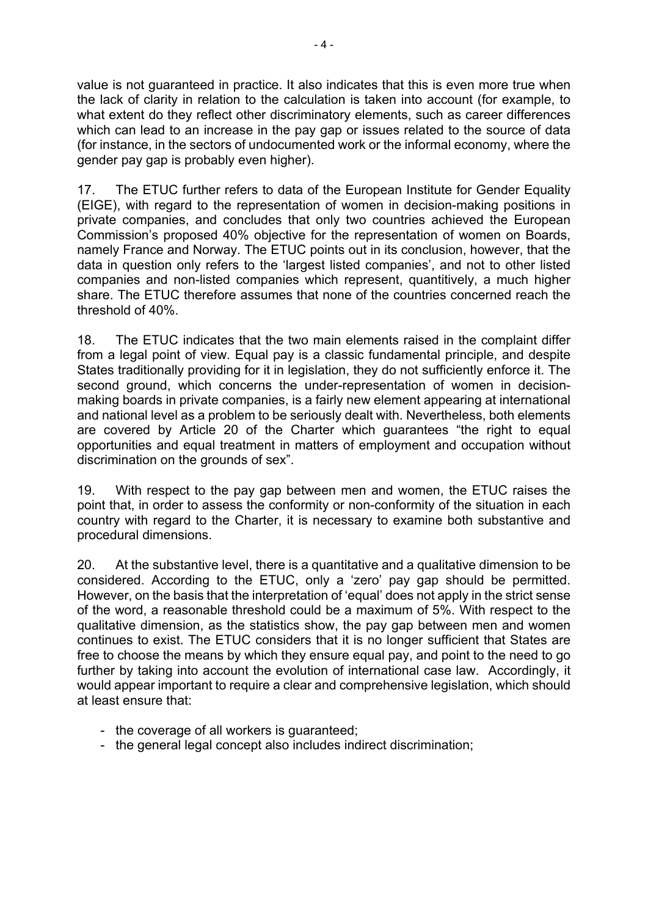value is not guaranteed in practice. It also indicates that this is even more true when the lack of clarity in relation to the calculation is taken into account (for example, to what extent do they reflect other discriminatory elements, such as career differences which can lead to an increase in the pay gap or issues related to the source of data (for instance, in the sectors of undocumented work or the informal economy, where the gender pay gap is probably even higher).

17. The ETUC further refers to data of the European Institute for Gender Equality (EIGE), with regard to the representation of women in decision-making positions in private companies, and concludes that only two countries achieved the European Commission's proposed 40% objective for the representation of women on Boards, namely France and Norway. The ETUC points out in its conclusion, however, that the data in question only refers to the 'largest listed companies', and not to other listed companies and non-listed companies which represent, quantitively, a much higher share. The ETUC therefore assumes that none of the countries concerned reach the threshold of 40%.

18. The ETUC indicates that the two main elements raised in the complaint differ from a legal point of view. Equal pay is a classic fundamental principle, and despite States traditionally providing for it in legislation, they do not sufficiently enforce it. The second ground, which concerns the under-representation of women in decisionmaking boards in private companies, is a fairly new element appearing at international and national level as a problem to be seriously dealt with. Nevertheless, both elements are covered by Article 20 of the Charter which guarantees "the right to equal opportunities and equal treatment in matters of employment and occupation without discrimination on the grounds of sex".

19. With respect to the pay gap between men and women, the ETUC raises the point that, in order to assess the conformity or non-conformity of the situation in each country with regard to the Charter, it is necessary to examine both substantive and procedural dimensions.

20. At the substantive level, there is a quantitative and a qualitative dimension to be considered. According to the ETUC, only a 'zero' pay gap should be permitted. However, on the basis that the interpretation of 'equal' does not apply in the strict sense of the word, a reasonable threshold could be a maximum of 5%. With respect to the qualitative dimension, as the statistics show, the pay gap between men and women continues to exist. The ETUC considers that it is no longer sufficient that States are free to choose the means by which they ensure equal pay, and point to the need to go further by taking into account the evolution of international case law. Accordingly, it would appear important to require a clear and comprehensive legislation, which should at least ensure that:

- the coverage of all workers is guaranteed;
- the general legal concept also includes indirect discrimination;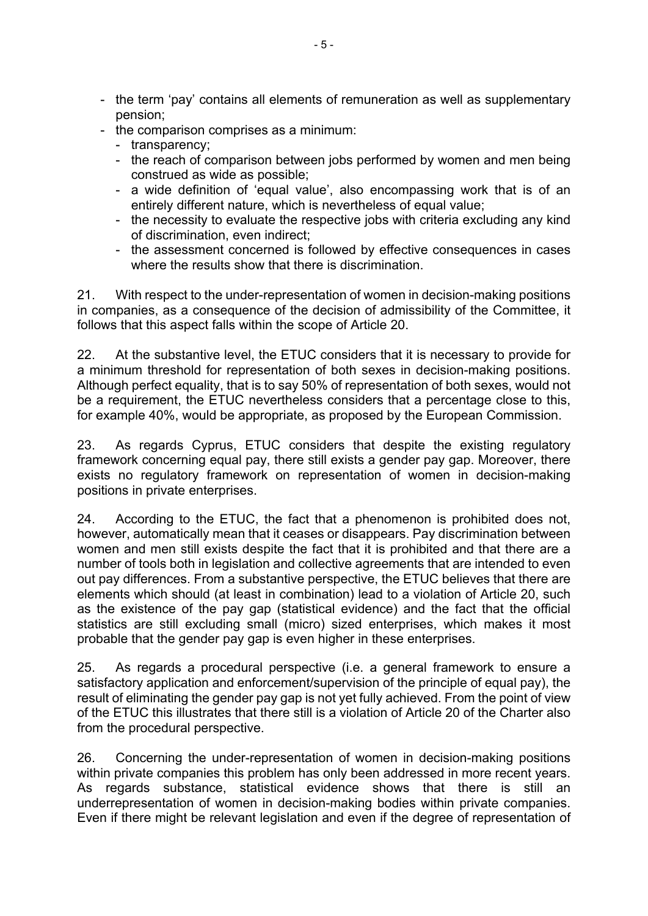- the term 'pay' contains all elements of remuneration as well as supplementary pension;
- the comparison comprises as a minimum:
	- transparency;
	- the reach of comparison between jobs performed by women and men being construed as wide as possible;
	- a wide definition of 'equal value', also encompassing work that is of an entirely different nature, which is nevertheless of equal value;
	- the necessity to evaluate the respective jobs with criteria excluding any kind of discrimination, even indirect;
	- the assessment concerned is followed by effective consequences in cases where the results show that there is discrimination.

21. With respect to the under-representation of women in decision-making positions in companies, as a consequence of the decision of admissibility of the Committee, it follows that this aspect falls within the scope of Article 20.

22. At the substantive level, the ETUC considers that it is necessary to provide for a minimum threshold for representation of both sexes in decision-making positions. Although perfect equality, that is to say 50% of representation of both sexes, would not be a requirement, the ETUC nevertheless considers that a percentage close to this, for example 40%, would be appropriate, as proposed by the European Commission.

23. As regards Cyprus, ETUC considers that despite the existing regulatory framework concerning equal pay, there still exists a gender pay gap. Moreover, there exists no regulatory framework on representation of women in decision-making positions in private enterprises.

24. According to the ETUC, the fact that a phenomenon is prohibited does not, however, automatically mean that it ceases or disappears. Pay discrimination between women and men still exists despite the fact that it is prohibited and that there are a number of tools both in legislation and collective agreements that are intended to even out pay differences. From a substantive perspective, the ETUC believes that there are elements which should (at least in combination) lead to a violation of Article 20, such as the existence of the pay gap (statistical evidence) and the fact that the official statistics are still excluding small (micro) sized enterprises, which makes it most probable that the gender pay gap is even higher in these enterprises.

25. As regards a procedural perspective (i.e. a general framework to ensure a satisfactory application and enforcement/supervision of the principle of equal pay), the result of eliminating the gender pay gap is not yet fully achieved. From the point of view of the ETUC this illustrates that there still is a violation of Article 20 of the Charter also from the procedural perspective.

26. Concerning the under-representation of women in decision-making positions within private companies this problem has only been addressed in more recent years. As regards substance, statistical evidence shows that there is still an underrepresentation of women in decision-making bodies within private companies. Even if there might be relevant legislation and even if the degree of representation of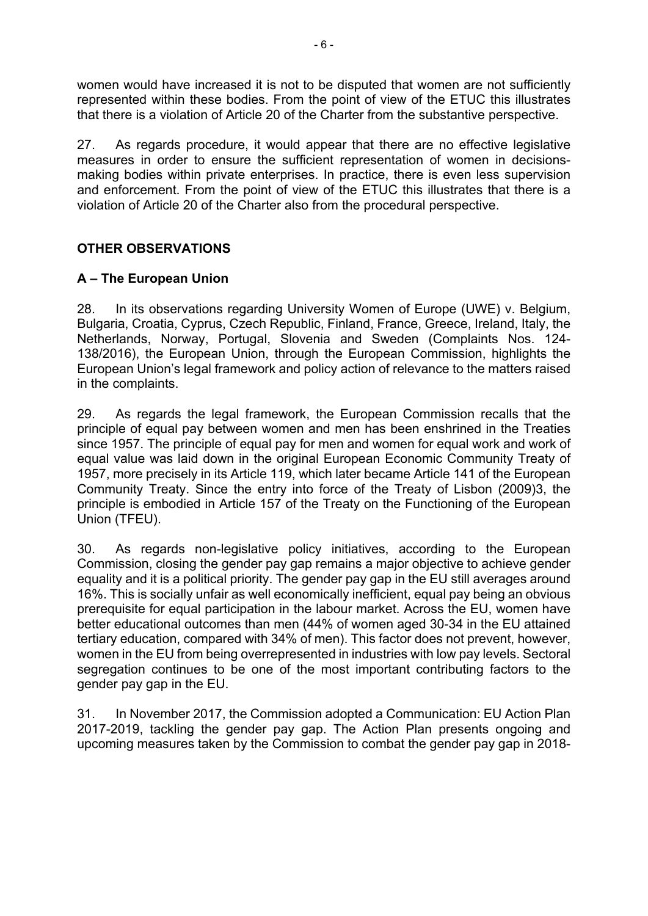women would have increased it is not to be disputed that women are not sufficiently represented within these bodies. From the point of view of the ETUC this illustrates that there is a violation of Article 20 of the Charter from the substantive perspective.

27. As regards procedure, it would appear that there are no effective legislative measures in order to ensure the sufficient representation of women in decisionsmaking bodies within private enterprises. In practice, there is even less supervision and enforcement. From the point of view of the ETUC this illustrates that there is a violation of Article 20 of the Charter also from the procedural perspective.

# **OTHER OBSERVATIONS**

# **A – The European Union**

28. In its observations regarding University Women of Europe (UWE) v. Belgium, Bulgaria, Croatia, Cyprus, Czech Republic, Finland, France, Greece, Ireland, Italy, the Netherlands, Norway, Portugal, Slovenia and Sweden (Complaints Nos. 124- 138/2016), the European Union, through the European Commission, highlights the European Union's legal framework and policy action of relevance to the matters raised in the complaints.

29. As regards the legal framework, the European Commission recalls that the principle of equal pay between women and men has been enshrined in the Treaties since 1957. The principle of equal pay for men and women for equal work and work of equal value was laid down in the original European Economic Community Treaty of 1957, more precisely in its Article 119, which later became Article 141 of the European Community Treaty. Since the entry into force of the Treaty of Lisbon (2009)3, the principle is embodied in Article 157 of the Treaty on the Functioning of the European Union (TFEU).

30. As regards non-legislative policy initiatives, according to the European Commission, closing the gender pay gap remains a major objective to achieve gender equality and it is a political priority. The gender pay gap in the EU still averages around 16%. This is socially unfair as well economically inefficient, equal pay being an obvious prerequisite for equal participation in the labour market. Across the EU, women have better educational outcomes than men (44% of women aged 30-34 in the EU attained tertiary education, compared with 34% of men). This factor does not prevent, however, women in the EU from being overrepresented in industries with low pay levels. Sectoral segregation continues to be one of the most important contributing factors to the gender pay gap in the EU.

31. In November 2017, the Commission adopted a Communication: EU Action Plan 2017-2019, tackling the gender pay gap. The Action Plan presents ongoing and upcoming measures taken by the Commission to combat the gender pay gap in 2018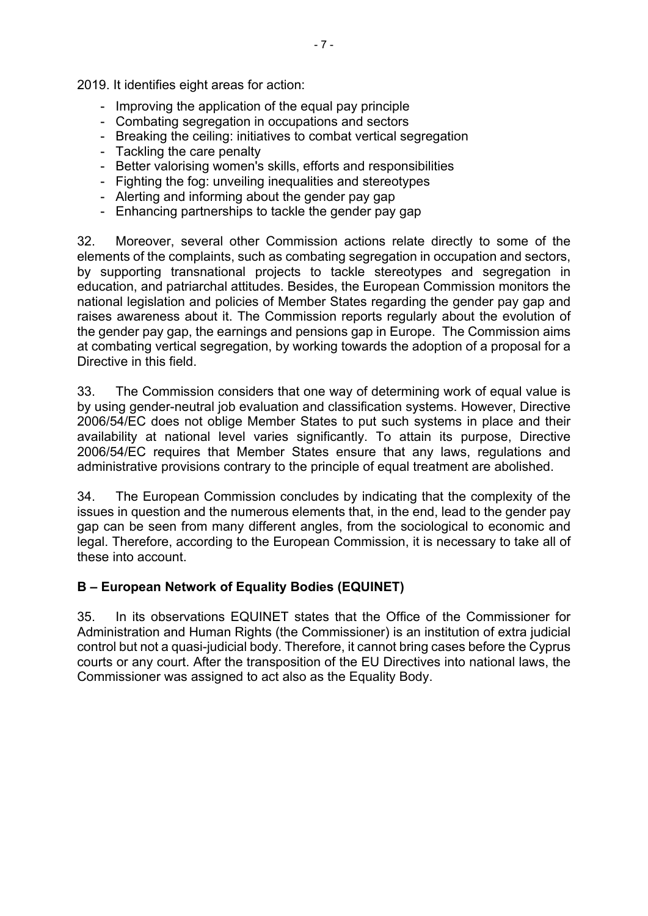2019. It identifies eight areas for action:

- Improving the application of the equal pay principle
- Combating segregation in occupations and sectors
- Breaking the ceiling: initiatives to combat vertical segregation
- Tackling the care penalty
- Better valorising women's skills, efforts and responsibilities
- Fighting the fog: unveiling inequalities and stereotypes
- Alerting and informing about the gender pay gap
- Enhancing partnerships to tackle the gender pay gap

32. Moreover, several other Commission actions relate directly to some of the elements of the complaints, such as combating segregation in occupation and sectors, by supporting transnational projects to tackle stereotypes and segregation in education, and patriarchal attitudes. Besides, the European Commission monitors the national legislation and policies of Member States regarding the gender pay gap and raises awareness about it. The Commission reports regularly about the evolution of the gender pay gap, the earnings and pensions gap in Europe. The Commission aims at combating vertical segregation, by working towards the adoption of a proposal for a Directive in this field.

33. The Commission considers that one way of determining work of equal value is by using gender-neutral job evaluation and classification systems. However, Directive 2006/54/EC does not oblige Member States to put such systems in place and their availability at national level varies significantly. To attain its purpose, Directive 2006/54/EC requires that Member States ensure that any laws, regulations and administrative provisions contrary to the principle of equal treatment are abolished.

34. The European Commission concludes by indicating that the complexity of the issues in question and the numerous elements that, in the end, lead to the gender pay gap can be seen from many different angles, from the sociological to economic and legal. Therefore, according to the European Commission, it is necessary to take all of these into account.

# **B – European Network of Equality Bodies (EQUINET)**

35. In its observations EQUINET states that the Office of the Commissioner for Administration and Human Rights (the Commissioner) is an institution of extra judicial control but not a quasi-judicial body. Therefore, it cannot bring cases before the Cyprus courts or any court. After the transposition of the EU Directives into national laws, the Commissioner was assigned to act also as the Equality Body.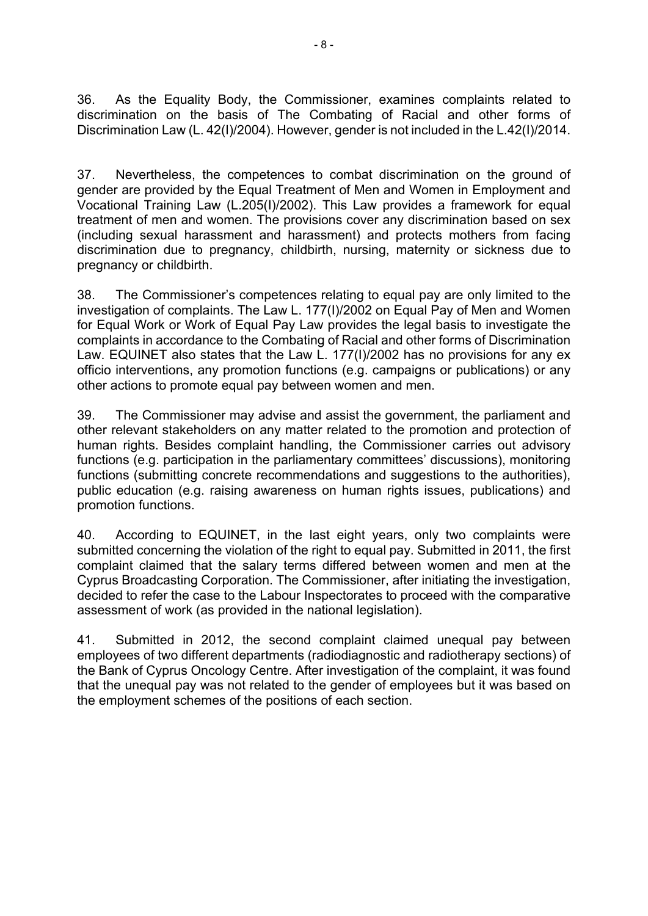36. As the Equality Body, the Commissioner, examines complaints related to discrimination on the basis of The Combating of Racial and other forms of Discrimination Law (L. 42(I)/2004). However, gender is not included in the L.42(I)/2014.

37. Nevertheless, the competences to combat discrimination on the ground of gender are provided by the Equal Treatment of Men and Women in Employment and Vocational Training Law (L.205(I)/2002). This Law provides a framework for equal treatment of men and women. The provisions cover any discrimination based on sex (including sexual harassment and harassment) and protects mothers from facing discrimination due to pregnancy, childbirth, nursing, maternity or sickness due to pregnancy or childbirth.

38. The Commissioner's competences relating to equal pay are only limited to the investigation of complaints. The Law L. 177(I)/2002 on Equal Pay of Men and Women for Equal Work or Work of Equal Pay Law provides the legal basis to investigate the complaints in accordance to the Combating of Racial and other forms of Discrimination Law. EQUINET also states that the Law L. 177(I)/2002 has no provisions for any ex officio interventions, any promotion functions (e.g. campaigns or publications) or any other actions to promote equal pay between women and men.

39. The Commissioner may advise and assist the government, the parliament and other relevant stakeholders on any matter related to the promotion and protection of human rights. Besides complaint handling, the Commissioner carries out advisory functions (e.g. participation in the parliamentary committees' discussions), monitoring functions (submitting concrete recommendations and suggestions to the authorities), public education (e.g. raising awareness on human rights issues, publications) and promotion functions.

40. According to EQUINET, in the last eight years, only two complaints were submitted concerning the violation of the right to equal pay. Submitted in 2011, the first complaint claimed that the salary terms differed between women and men at the Cyprus Broadcasting Corporation. The Commissioner, after initiating the investigation, decided to refer the case to the Labour Inspectorates to proceed with the comparative assessment of work (as provided in the national legislation).

41. Submitted in 2012, the second complaint claimed unequal pay between employees of two different departments (radiodiagnostic and radiotherapy sections) of the Bank of Cyprus Oncology Centre. After investigation of the complaint, it was found that the unequal pay was not related to the gender of employees but it was based on the employment schemes of the positions of each section.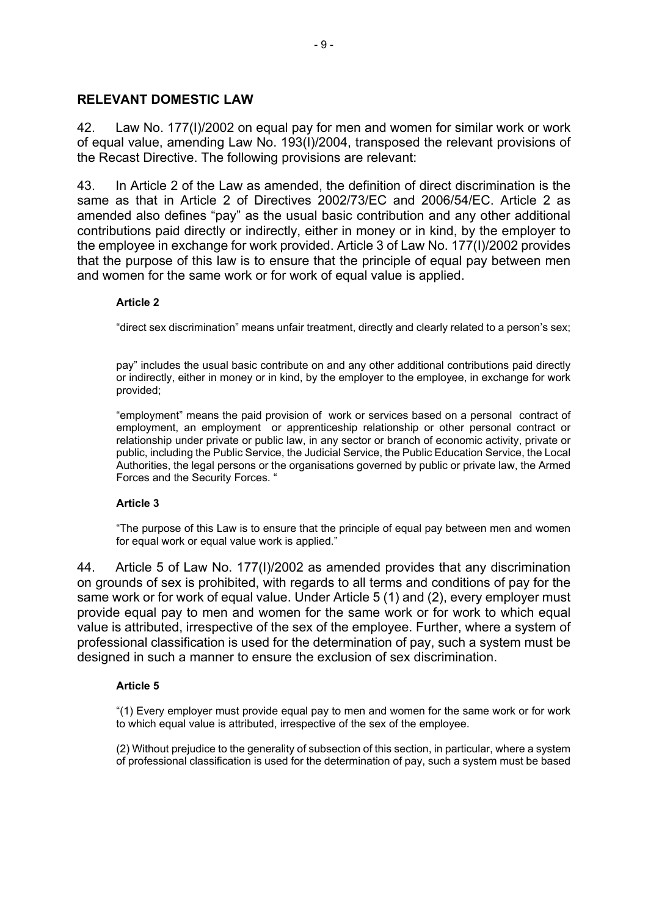### **RELEVANT DOMESTIC LAW**

42. Law No. 177(I)/2002 on equal pay for men and women for similar work or work of equal value, amending Law No. 193(I)/2004, transposed the relevant provisions of the Recast Directive. The following provisions are relevant:

43. In Article 2 of the Law as amended, the definition of direct discrimination is the same as that in Article 2 of Directives 2002/73/EC and 2006/54/EC. Article 2 as amended also defines "pay" as the usual basic contribution and any other additional contributions paid directly or indirectly, either in money or in kind, by the employer to the employee in exchange for work provided. Article 3 of Law No. 177(I)/2002 provides that the purpose of this law is to ensure that the principle of equal pay between men and women for the same work or for work of equal value is applied.

#### **Article 2**

"direct sex discrimination" means unfair treatment, directly and clearly related to a person's sex;

pay" includes the usual basic contribute on and any other additional contributions paid directly or indirectly, either in money or in kind, by the employer to the employee, in exchange for work provided;

"employment" means the paid provision of work or services based on a personal contract of employment, an employment or apprenticeship relationship or other personal contract or relationship under private or public law, in any sector or branch of economic activity, private or public, including the Public Service, the Judicial Service, the Public Education Service, the Local Authorities, the legal persons or the organisations governed by public or private law, the Armed Forces and the Security Forces. "

#### **Article 3**

"The purpose of this Law is to ensure that the principle of equal pay between men and women for equal work or equal value work is applied."

44. Article 5 of Law No. 177(I)/2002 as amended provides that any discrimination on grounds of sex is prohibited, with regards to all terms and conditions of pay for the same work or for work of equal value. Under Article 5 (1) and (2), every employer must provide equal pay to men and women for the same work or for work to which equal value is attributed, irrespective of the sex of the employee. Further, where a system of professional classification is used for the determination of pay, such a system must be designed in such a manner to ensure the exclusion of sex discrimination.

#### **Article 5**

"(1) Every employer must provide equal pay to men and women for the same work or for work to which equal value is attributed, irrespective of the sex of the employee.

(2) Without prejudice to the generality of subsection of this section, in particular, where a system of professional classification is used for the determination of pay, such a system must be based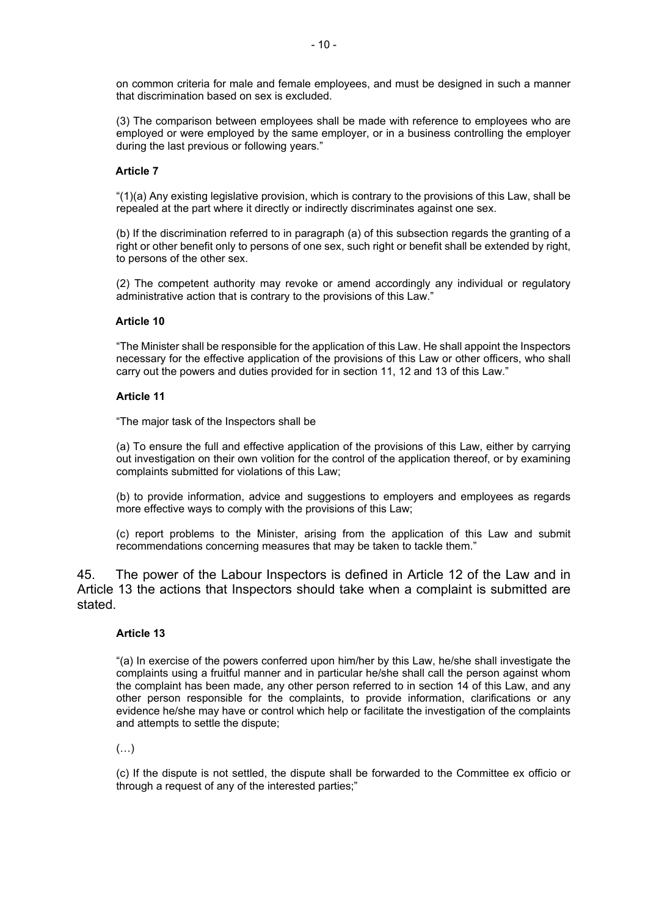on common criteria for male and female employees, and must be designed in such a manner that discrimination based on sex is excluded.

(3) The comparison between employees shall be made with reference to employees who are employed or were employed by the same employer, or in a business controlling the employer during the last previous or following years."

#### **Article 7**

"(1)(a) Any existing legislative provision, which is contrary to the provisions of this Law, shall be repealed at the part where it directly or indirectly discriminates against one sex.

(b) If the discrimination referred to in paragraph (a) of this subsection regards the granting of a right or other benefit only to persons of one sex, such right or benefit shall be extended by right, to persons of the other sex.

(2) The competent authority may revoke or amend accordingly any individual or regulatory administrative action that is contrary to the provisions of this Law."

#### **Article 10**

"The Minister shall be responsible for the application of this Law. He shall appoint the Inspectors necessary for the effective application of the provisions of this Law or other officers, who shall carry out the powers and duties provided for in section 11, 12 and 13 of this Law."

#### **Article 11**

"The major task of the Inspectors shall be

(a) To ensure the full and effective application of the provisions of this Law, either by carrying out investigation on their own volition for the control of the application thereof, or by examining complaints submitted for violations of this Law;

(b) to provide information, advice and suggestions to employers and employees as regards more effective ways to comply with the provisions of this Law;

(c) report problems to the Minister, arising from the application of this Law and submit recommendations concerning measures that may be taken to tackle them."

45. The power of the Labour Inspectors is defined in Article 12 of the Law and in Article 13 the actions that Inspectors should take when a complaint is submitted are stated.

#### **Article 13**

"(a) In exercise of the powers conferred upon him/her by this Law, he/she shall investigate the complaints using a fruitful manner and in particular he/she shall call the person against whom the complaint has been made, any other person referred to in section 14 of this Law, and any other person responsible for the complaints, to provide information, clarifications or any evidence he/she may have or control which help or facilitate the investigation of the complaints and attempts to settle the dispute;

(…)

(c) If the dispute is not settled, the dispute shall be forwarded to the Committee ex officio or through a request of any of the interested parties;"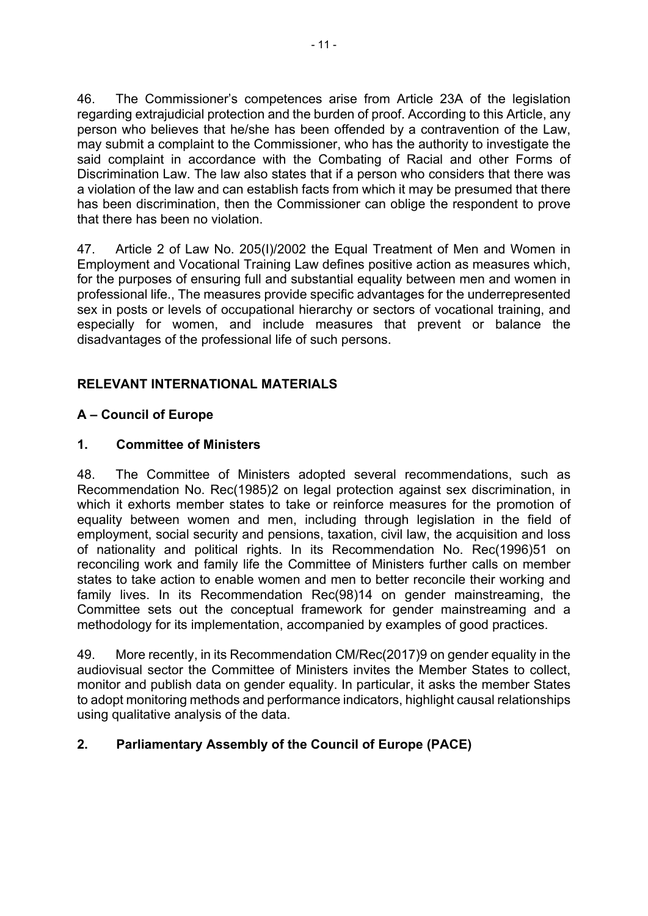46. The Commissioner's competences arise from Article 23A of the legislation regarding extrajudicial protection and the burden of proof. According to this Article, any person who believes that he/she has been offended by a contravention of the Law, may submit a complaint to the Commissioner, who has the authority to investigate the said complaint in accordance with the Combating of Racial and other Forms of Discrimination Law. The law also states that if a person who considers that there was a violation of the law and can establish facts from which it may be presumed that there has been discrimination, then the Commissioner can oblige the respondent to prove that there has been no violation.

47. Article 2 of Law No. 205(I)/2002 the Equal Treatment of Men and Women in Employment and Vocational Training Law defines positive action as measures which, for the purposes of ensuring full and substantial equality between men and women in professional life., The measures provide specific advantages for the underrepresented sex in posts or levels of occupational hierarchy or sectors of vocational training, and especially for women, and include measures that prevent or balance the disadvantages of the professional life of such persons.

# **RELEVANT INTERNATIONAL MATERIALS**

# **A – Council of Europe**

# **1. Committee of Ministers**

48. The Committee of Ministers adopted several recommendations, such as Recommendation No. Rec(1985)2 on legal protection against sex discrimination, in which it exhorts member states to take or reinforce measures for the promotion of equality between women and men, including through legislation in the field of employment, social security and pensions, taxation, civil law, the acquisition and loss of nationality and political rights. In its Recommendation No. Rec(1996)51 on reconciling work and family life the Committee of Ministers further calls on member states to take action to enable women and men to better reconcile their working and family lives. In its Recommendation Rec(98)14 on gender mainstreaming, the Committee sets out the conceptual framework for gender mainstreaming and a methodology for its implementation, accompanied by examples of good practices.

49. More recently, in its Recommendation CM/Rec(2017)9 on gender equality in the audiovisual sector the Committee of Ministers invites the Member States to collect, monitor and publish data on gender equality. In particular, it asks the member States to adopt monitoring methods and performance indicators, highlight causal relationships using qualitative analysis of the data.

# **2. Parliamentary Assembly of the Council of Europe (PACE)**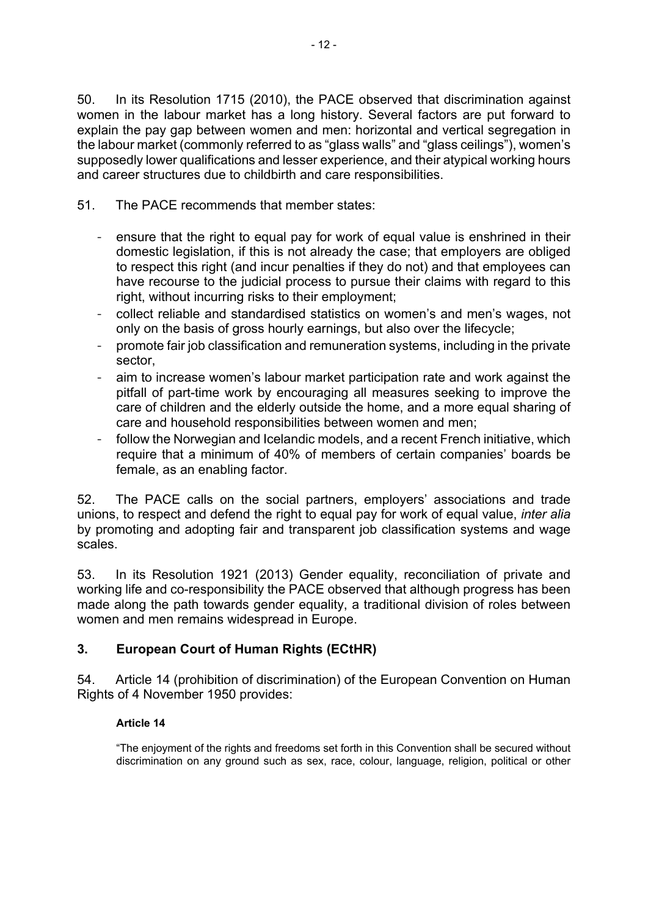50. In its Resolution 1715 (2010), the PACE observed that discrimination against women in the labour market has a long history. Several factors are put forward to explain the pay gap between women and men: horizontal and vertical segregation in the labour market (commonly referred to as "glass walls" and "glass ceilings"), women's supposedly lower qualifications and lesser experience, and their atypical working hours and career structures due to childbirth and care responsibilities.

- 51. The PACE recommends that member states:
	- ensure that the right to equal pay for work of equal value is enshrined in their domestic legislation, if this is not already the case; that employers are obliged to respect this right (and incur penalties if they do not) and that employees can have recourse to the judicial process to pursue their claims with regard to this right, without incurring risks to their employment;
	- collect reliable and standardised statistics on women's and men's wages, not only on the basis of gross hourly earnings, but also over the lifecycle;
	- promote fair job classification and remuneration systems, including in the private sector,
	- aim to increase women's labour market participation rate and work against the pitfall of part-time work by encouraging all measures seeking to improve the care of children and the elderly outside the home, and a more equal sharing of care and household responsibilities between women and men;
	- follow the Norwegian and Icelandic models, and a recent French initiative, which require that a minimum of 40% of members of certain companies' boards be female, as an enabling factor.

52. The PACE calls on the social partners, employers' associations and trade unions, to respect and defend the right to equal pay for work of equal value, *inter alia* by promoting and adopting fair and transparent job classification systems and wage scales.

53. In its Resolution 1921 (2013) Gender equality, reconciliation of private and working life and co-responsibility the PACE observed that although progress has been made along the path towards gender equality, a traditional division of roles between women and men remains widespread in Europe.

# **3. European Court of Human Rights (ECtHR)**

54. Article 14 (prohibition of discrimination) of the European Convention on Human Rights of 4 November 1950 provides:

### **Article 14**

"The enjoyment of the rights and freedoms set forth in this Convention shall be secured without discrimination on any ground such as sex, race, colour, language, religion, political or other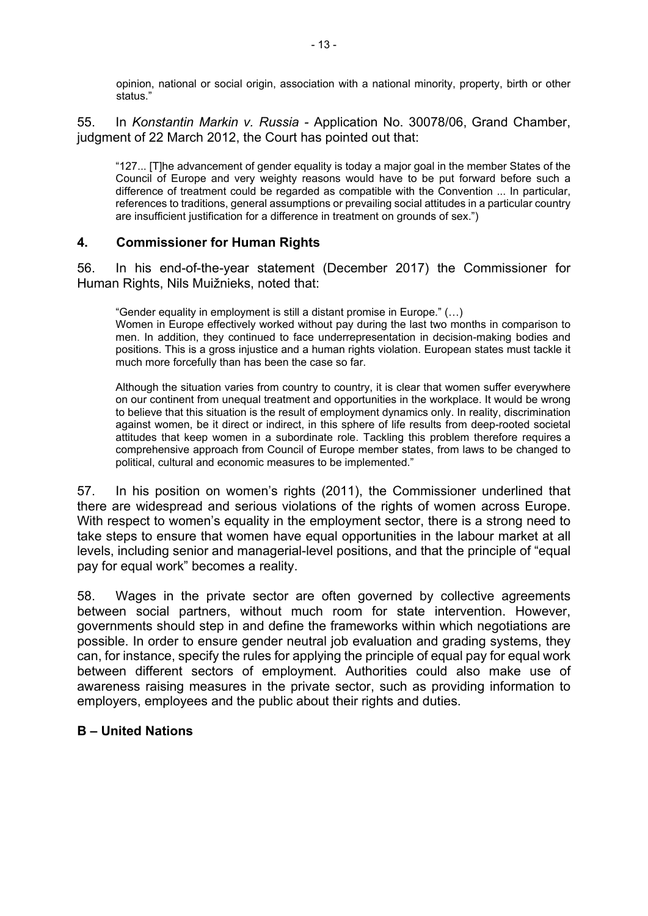opinion, national or social origin, association with a national minority, property, birth or other status."

55. In *Konstantin Markin v. Russia -* Application No. 30078/06, Grand Chamber, judgment of 22 March 2012, the Court has pointed out that:

"127... [T]he advancement of gender equality is today a major goal in the member States of the Council of Europe and very weighty reasons would have to be put forward before such a difference of treatment could be regarded as compatible with the Convention ... In particular, references to traditions, general assumptions or prevailing social attitudes in a particular country are insufficient justification for a difference in treatment on grounds of sex.")

#### **4. Commissioner for Human Rights**

56. In his end-of-the-year statement (December 2017) the Commissioner for Human Rights, Nils Muižnieks, noted that:

"Gender equality in employment is still a distant promise in Europe." (…) Women in Europe effectively worked without pay during the last two months in comparison to men. In addition, they continued to face underrepresentation in decision-making bodies and positions. This is a gross injustice and a human rights violation. European states must tackle it much more forcefully than has been the case so far.

Although the situation varies from country to country, it is clear that women suffer everywhere on our continent from unequal treatment and opportunities in the workplace. It would be wrong to believe that this situation is the result of employment dynamics only. In reality, discrimination against women, be it direct or indirect, in this sphere of life results from deep-rooted societal attitudes that keep women in a subordinate role. Tackling this problem therefore requires a comprehensive approach from Council of Europe member states, from laws to be changed to political, cultural and economic measures to be implemented."

57. In his position on women's rights (2011), the Commissioner underlined that there are widespread and serious violations of the rights of women across Europe. With respect to women's equality in the employment sector, there is a strong need to take steps to ensure that women have equal opportunities in the labour market at all levels, including senior and managerial-level positions, and that the principle of "equal pay for equal work" becomes a reality.

58. Wages in the private sector are often governed by collective agreements between social partners, without much room for state intervention. However, governments should step in and define the frameworks within which negotiations are possible. In order to ensure gender neutral job evaluation and grading systems, they can, for instance, specify the rules for applying the principle of equal pay for equal work between different sectors of employment. Authorities could also make use of awareness raising measures in the private sector, such as providing information to employers, employees and the public about their rights and duties.

### **B – United Nations**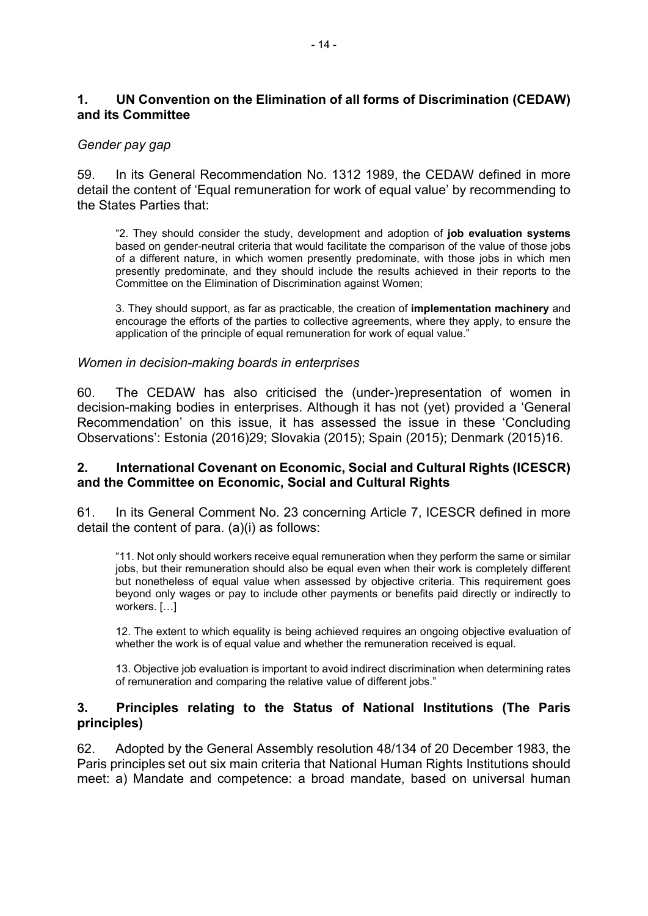# **1. UN Convention on the Elimination of all forms of Discrimination (CEDAW) and its Committee**

### *Gender pay gap*

59. In its General Recommendation No. 1312 1989, the CEDAW defined in more detail the content of 'Equal remuneration for work of equal value' by recommending to the States Parties that:

"2. They should consider the study, development and adoption of **job evaluation systems** based on gender-neutral criteria that would facilitate the comparison of the value of those jobs of a different nature, in which women presently predominate, with those jobs in which men presently predominate, and they should include the results achieved in their reports to the Committee on the Elimination of Discrimination against Women;

3. They should support, as far as practicable, the creation of **implementation machinery** and encourage the efforts of the parties to collective agreements, where they apply, to ensure the application of the principle of equal remuneration for work of equal value."

#### *Women in decision-making boards in enterprises*

60. The CEDAW has also criticised the (under-)representation of women in decision-making bodies in enterprises. Although it has not (yet) provided a 'General Recommendation' on this issue, it has assessed the issue in these 'Concluding Observations': Estonia (2016)29; Slovakia (2015); Spain (2015); Denmark (2015)16.

#### **2. International Covenant on Economic, Social and Cultural Rights (ICESCR) and the Committee on Economic, Social and Cultural Rights**

61. In its General Comment No. 23 concerning Article 7, ICESCR defined in more detail the content of para. (a)(i) as follows:

"11. Not only should workers receive equal remuneration when they perform the same or similar jobs, but their remuneration should also be equal even when their work is completely different but nonetheless of equal value when assessed by objective criteria. This requirement goes beyond only wages or pay to include other payments or benefits paid directly or indirectly to workers. […]

12. The extent to which equality is being achieved requires an ongoing objective evaluation of whether the work is of equal value and whether the remuneration received is equal.

13. Objective job evaluation is important to avoid indirect discrimination when determining rates of remuneration and comparing the relative value of different jobs."

#### **3. Principles relating to the Status of National Institutions (The Paris principles)**

62. Adopted by the General Assembly resolution 48/134 of 20 December 1983, the Paris principles set out six main criteria that National Human Rights Institutions should meet: a) Mandate and competence: a broad mandate, based on universal human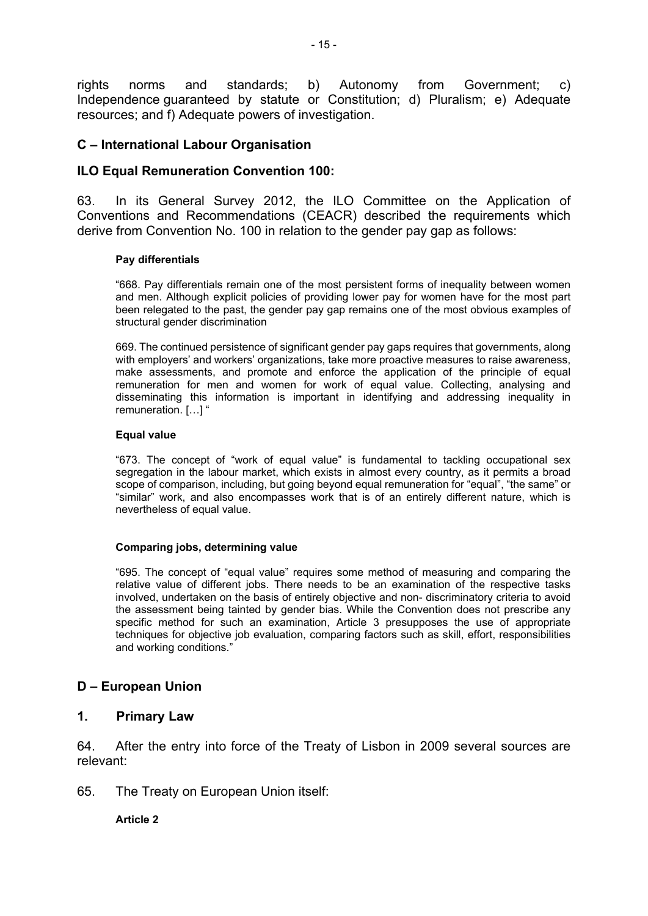rights norms and standards; b) Autonomy from Government; c) Independence guaranteed by statute or Constitution; d) Pluralism; e) Adequate resources; and f) Adequate powers of investigation.

### **C – International Labour Organisation**

#### **ILO Equal Remuneration Convention 100:**

63. In its General Survey 2012, the ILO Committee on the Application of Conventions and Recommendations (CEACR) described the requirements which derive from Convention No. 100 in relation to the gender pay gap as follows:

#### **Pay differentials**

"668. Pay differentials remain one of the most persistent forms of inequality between women and men. Although explicit policies of providing lower pay for women have for the most part been relegated to the past, the gender pay gap remains one of the most obvious examples of structural gender discrimination

669. The continued persistence of significant gender pay gaps requires that governments, along with employers' and workers' organizations, take more proactive measures to raise awareness, make assessments, and promote and enforce the application of the principle of equal remuneration for men and women for work of equal value. Collecting, analysing and disseminating this information is important in identifying and addressing inequality in remuneration. […] "

#### **Equal value**

"673. The concept of "work of equal value" is fundamental to tackling occupational sex segregation in the labour market, which exists in almost every country, as it permits a broad scope of comparison, including, but going beyond equal remuneration for "equal", "the same" or "similar" work, and also encompasses work that is of an entirely different nature, which is nevertheless of equal value.

#### **Comparing jobs, determining value**

"695. The concept of "equal value" requires some method of measuring and comparing the relative value of different jobs. There needs to be an examination of the respective tasks involved, undertaken on the basis of entirely objective and non- discriminatory criteria to avoid the assessment being tainted by gender bias. While the Convention does not prescribe any specific method for such an examination, Article 3 presupposes the use of appropriate techniques for objective job evaluation, comparing factors such as skill, effort, responsibilities and working conditions."

### **D – European Union**

#### **1. Primary Law**

64. After the entry into force of the Treaty of Lisbon in 2009 several sources are relevant:

65. The Treaty on European Union itself:

**Article 2**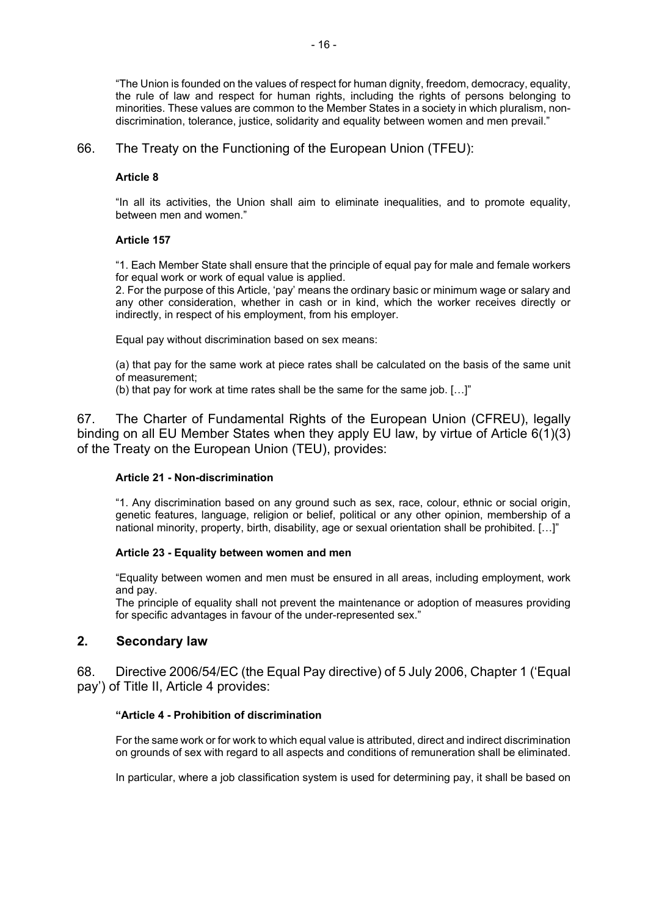"The Union is founded on the values of respect for human dignity, freedom, democracy, equality, the rule of law and respect for human rights, including the rights of persons belonging to minorities. These values are common to the Member States in a society in which pluralism, nondiscrimination, tolerance, justice, solidarity and equality between women and men prevail."

#### 66. The Treaty on the Functioning of the European Union (TFEU):

#### **Article 8**

"In all its activities, the Union shall aim to eliminate inequalities, and to promote equality, between men and women."

#### **Article 157**

"1. Each Member State shall ensure that the principle of equal pay for male and female workers for equal work or work of equal value is applied.

2. For the purpose of this Article, 'pay' means the ordinary basic or minimum wage or salary and any other consideration, whether in cash or in kind, which the worker receives directly or indirectly, in respect of his employment, from his employer.

Equal pay without discrimination based on sex means:

(a) that pay for the same work at piece rates shall be calculated on the basis of the same unit of measurement;

(b) that pay for work at time rates shall be the same for the same job. […]"

67. The Charter of Fundamental Rights of the European Union (CFREU), legally binding on all EU Member States when they apply EU law, by virtue of Article 6(1)(3) of the Treaty on the European Union (TEU), provides:

#### **Article 21 - Non-discrimination**

"1. Any discrimination based on any ground such as sex, race, colour, ethnic or social origin, genetic features, language, religion or belief, political or any other opinion, membership of a national minority, property, birth, disability, age or sexual orientation shall be prohibited. […]"

#### **Article 23 - Equality between women and men**

"Equality between women and men must be ensured in all areas, including employment, work and pay.

The principle of equality shall not prevent the maintenance or adoption of measures providing for specific advantages in favour of the under-represented sex."

#### **2. Secondary law**

68. Directive 2006/54/EC (the Equal Pay directive) of 5 July 2006, Chapter 1 ('Equal pay') of Title II, Article 4 provides:

#### **"Article 4 - Prohibition of discrimination**

For the same work or for work to which equal value is attributed, direct and indirect discrimination on grounds of sex with regard to all aspects and conditions of remuneration shall be eliminated.

In particular, where a job classification system is used for determining pay, it shall be based on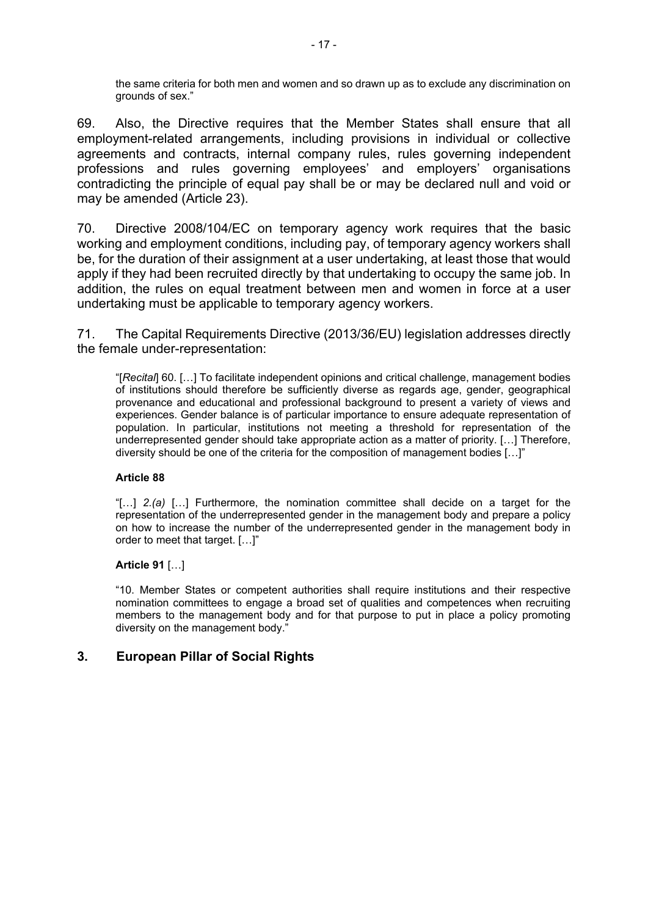the same criteria for both men and women and so drawn up as to exclude any discrimination on grounds of sex."

69. Also, the Directive requires that the Member States shall ensure that all employment-related arrangements, including provisions in individual or collective agreements and contracts, internal company rules, rules governing independent professions and rules governing employees' and employers' organisations contradicting the principle of equal pay shall be or may be declared null and void or may be amended (Article 23).

70. Directive 2008/104/EC on temporary agency work requires that the basic working and employment conditions, including pay, of temporary agency workers shall be, for the duration of their assignment at a user undertaking, at least those that would apply if they had been recruited directly by that undertaking to occupy the same job. In addition, the rules on equal treatment between men and women in force at a user undertaking must be applicable to temporary agency workers.

71. The Capital Requirements Directive (2013/36/EU) legislation addresses directly the female under-representation:

"[*Recital*] 60. […] To facilitate independent opinions and critical challenge, management bodies of institutions should therefore be sufficiently diverse as regards age, gender, geographical provenance and educational and professional background to present a variety of views and experiences. Gender balance is of particular importance to ensure adequate representation of population. In particular, institutions not meeting a threshold for representation of the underrepresented gender should take appropriate action as a matter of priority. […] Therefore, diversity should be one of the criteria for the composition of management bodies […]"

#### **Article 88**

"[…] *2.(a)* […] Furthermore, the nomination committee shall decide on a target for the representation of the underrepresented gender in the management body and prepare a policy on how to increase the number of the underrepresented gender in the management body in order to meet that target. […]"

#### **Article 91** […]

"10. Member States or competent authorities shall require institutions and their respective nomination committees to engage a broad set of qualities and competences when recruiting members to the management body and for that purpose to put in place a policy promoting diversity on the management body."

### **3. European Pillar of Social Rights**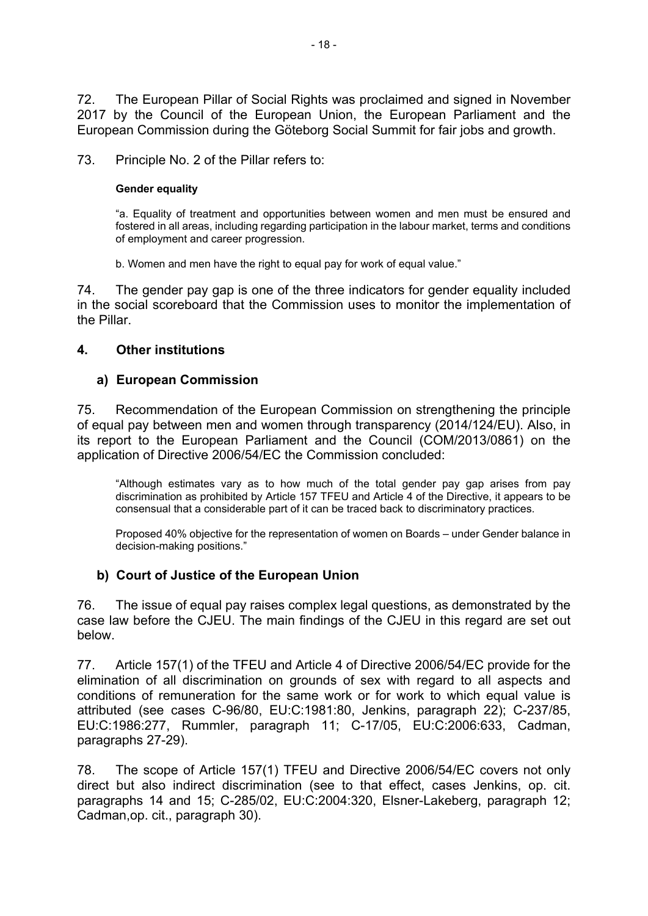72. The European Pillar of Social Rights was proclaimed and signed in November 2017 by the Council of the European Union, the European Parliament and the European Commission during the Göteborg Social Summit for fair jobs and growth.

73. Principle No. 2 of the Pillar refers to:

#### **Gender equality**

"a. Equality of treatment and opportunities between women and men must be ensured and fostered in all areas, including regarding participation in the labour market, terms and conditions of employment and career progression.

b. Women and men have the right to equal pay for work of equal value."

74. The gender pay gap is one of the three indicators for gender equality included in the social scoreboard that the Commission uses to monitor the implementation of the Pillar.

# **4. Other institutions**

# **a) European Commission**

75. Recommendation of the European Commission on strengthening the principle of equal pay between men and women through transparency (2014/124/EU). Also, in its report to the European Parliament and the Council (COM/2013/0861) on the application of Directive 2006/54/EC the Commission concluded:

"Although estimates vary as to how much of the total gender pay gap arises from pay discrimination as prohibited by Article 157 TFEU and Article 4 of the Directive, it appears to be consensual that a considerable part of it can be traced back to discriminatory practices.

Proposed 40% objective for the representation of women on Boards – under Gender balance in decision-making positions."

# **b) Court of Justice of the European Union**

76. The issue of equal pay raises complex legal questions, as demonstrated by the case law before the CJEU. The main findings of the CJEU in this regard are set out below.

77. Article 157(1) of the TFEU and Article 4 of Directive 2006/54/EC provide for the elimination of all discrimination on grounds of sex with regard to all aspects and conditions of remuneration for the same work or for work to which equal value is attributed (see cases C-96/80, EU:C:1981:80, Jenkins, paragraph 22); C-237/85, EU:C:1986:277, Rummler, paragraph 11; C-17/05, EU:C:2006:633, Cadman, paragraphs 27-29).

78. The scope of Article 157(1) TFEU and Directive 2006/54/EC covers not only direct but also indirect discrimination (see to that effect, cases Jenkins, op. cit. paragraphs 14 and 15; C-285/02, EU:C:2004:320, Elsner-Lakeberg, paragraph 12; Cadman,op. cit., paragraph 30).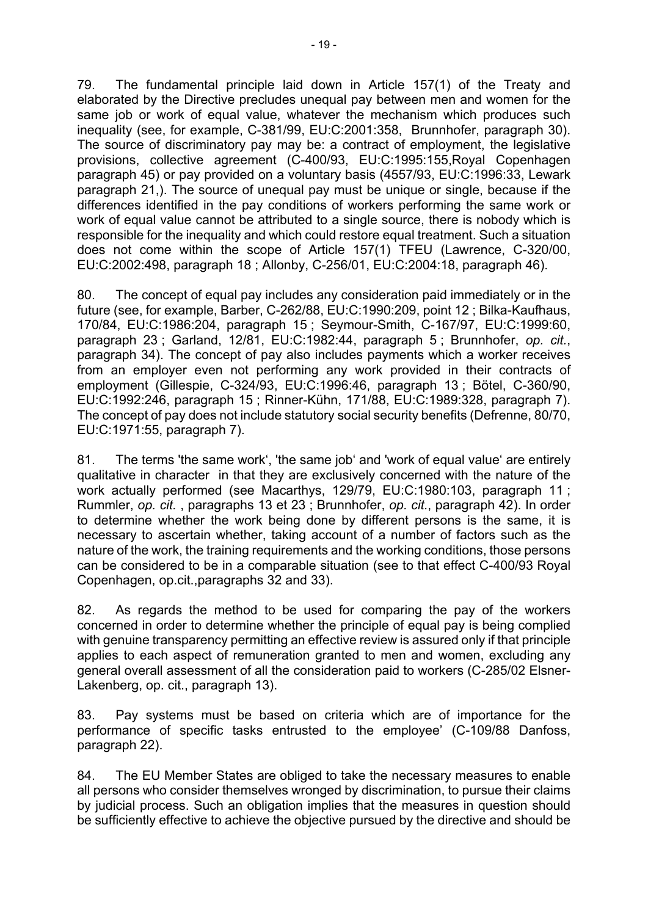79. The fundamental principle laid down in Article 157(1) of the Treaty and elaborated by the Directive precludes unequal pay between men and women for the same job or work of equal value, whatever the mechanism which produces such inequality (see, for example, C-381/99, EU:C:2001:358, Brunnhofer, paragraph 30). The source of discriminatory pay may be: a contract of employment, the legislative provisions, collective agreement (C-400/93, EU:C:1995:155,Royal Copenhagen paragraph 45) or pay provided on a voluntary basis (4557/93, EU:C:1996:33, Lewark paragraph 21,). The source of unequal pay must be unique or single, because if the differences identified in the pay conditions of workers performing the same work or work of equal value cannot be attributed to a single source, there is nobody which is responsible for the inequality and which could restore equal treatment. Such a situation does not come within the scope of Article 157(1) TFEU (Lawrence, C-320/00, EU:C:2002:498, paragraph 18 ; Allonby, C-256/01, EU:C:2004:18, paragraph 46).

80. The concept of equal pay includes any consideration paid immediately or in the future (see, for example, Barber, C-262/88, EU:C:1990:209, point 12 ; Bilka-Kaufhaus, 170/84, EU:C:1986:204, paragraph 15 ; Seymour-Smith, C-167/97, EU:C:1999:60, paragraph 23 ; Garland, 12/81, EU:C:1982:44, paragraph 5 ; Brunnhofer, *op. cit.*, paragraph 34). The concept of pay also includes payments which a worker receives from an employer even not performing any work provided in their contracts of employment (Gillespie, C-324/93, EU:C:1996:46, paragraph 13 ; Bötel, C-360/90, EU:C:1992:246, paragraph 15 ; Rinner-Kühn, 171/88, EU:C:1989:328, paragraph 7). The concept of pay does not include statutory social security benefits (Defrenne, 80/70, EU:C:1971:55, paragraph 7).

81. The terms 'the same work', 'the same job' and 'work of equal value' are entirely qualitative in character in that they are exclusively concerned with the nature of the work actually performed (see Macarthys, 129/79, EU:C:1980:103, paragraph 11 ; Rummler, *op. cit.* , paragraphs 13 et 23 ; Brunnhofer, *op. cit.*, paragraph 42). In order to determine whether the work being done by different persons is the same, it is necessary to ascertain whether, taking account of a number of factors such as the nature of the work, the training requirements and the working conditions, those persons can be considered to be in a comparable situation (see to that effect C-400/93 Royal Copenhagen, op.cit.,paragraphs 32 and 33).

82. As regards the method to be used for comparing the pay of the workers concerned in order to determine whether the principle of equal pay is being complied with genuine transparency permitting an effective review is assured only if that principle applies to each aspect of remuneration granted to men and women, excluding any general overall assessment of all the consideration paid to workers (C-285/02 Elsner-Lakenberg, op. cit., paragraph 13).

83. Pay systems must be based on criteria which are of importance for the performance of specific tasks entrusted to the employee' (C-109/88 Danfoss, paragraph 22).

84. The EU Member States are obliged to take the necessary measures to enable all persons who consider themselves wronged by discrimination, to pursue their claims by judicial process. Such an obligation implies that the measures in question should be sufficiently effective to achieve the objective pursued by the directive and should be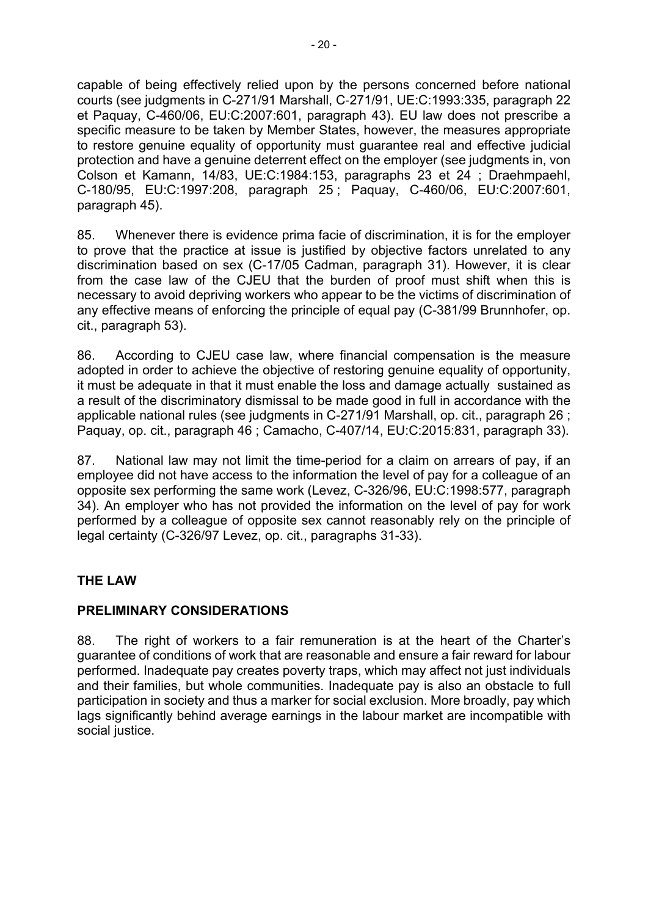capable of being effectively relied upon by the persons concerned before national courts (see judgments in C-271/91 Marshall, C‑271/91, UE:C:1993:335, paragraph 22 et Paquay, C-460/06, EU:C:2007:601, paragraph 43). EU law does not prescribe a specific measure to be taken by Member States, however, the measures appropriate to restore genuine equality of opportunity must guarantee real and effective judicial protection and have a genuine deterrent effect on the employer (see judgments in, von Colson et Kamann, 14/83, UE:C:1984:153, paragraphs 23 et 24 ; Draehmpaehl, C-180/95, EU:C:1997:208, paragraph 25 ; Paquay, C-460/06, EU:C:2007:601, paragraph 45).

85. Whenever there is evidence prima facie of discrimination, it is for the employer to prove that the practice at issue is justified by objective factors unrelated to any discrimination based on sex (C-17/05 Cadman, paragraph 31). However, it is clear from the case law of the CJEU that the burden of proof must shift when this is necessary to avoid depriving workers who appear to be the victims of discrimination of any effective means of enforcing the principle of equal pay (C-381/99 Brunnhofer, op. cit., paragraph 53).

86. According to CJEU case law, where financial compensation is the measure adopted in order to achieve the objective of restoring genuine equality of opportunity, it must be adequate in that it must enable the loss and damage actually sustained as a result of the discriminatory dismissal to be made good in full in accordance with the applicable national rules (see judgments in C-271/91 Marshall, op. cit., paragraph 26 ; Paquay, op. cit., paragraph 46 ; Camacho, C-407/14, EU:C:2015:831, paragraph 33).

87. National law may not limit the time-period for a claim on arrears of pay, if an employee did not have access to the information the level of pay for a colleague of an opposite sex performing the same work (Levez, C-326/96, EU:C:1998:577, paragraph 34). An employer who has not provided the information on the level of pay for work performed by a colleague of opposite sex cannot reasonably rely on the principle of legal certainty (C-326/97 Levez, op. cit., paragraphs 31-33).

# **THE LAW**

# **PRELIMINARY CONSIDERATIONS**

88. The right of workers to a fair remuneration is at the heart of the Charter's guarantee of conditions of work that are reasonable and ensure a fair reward for labour performed. Inadequate pay creates poverty traps, which may affect not just individuals and their families, but whole communities. Inadequate pay is also an obstacle to full participation in society and thus a marker for social exclusion. More broadly, pay which lags significantly behind average earnings in the labour market are incompatible with social justice.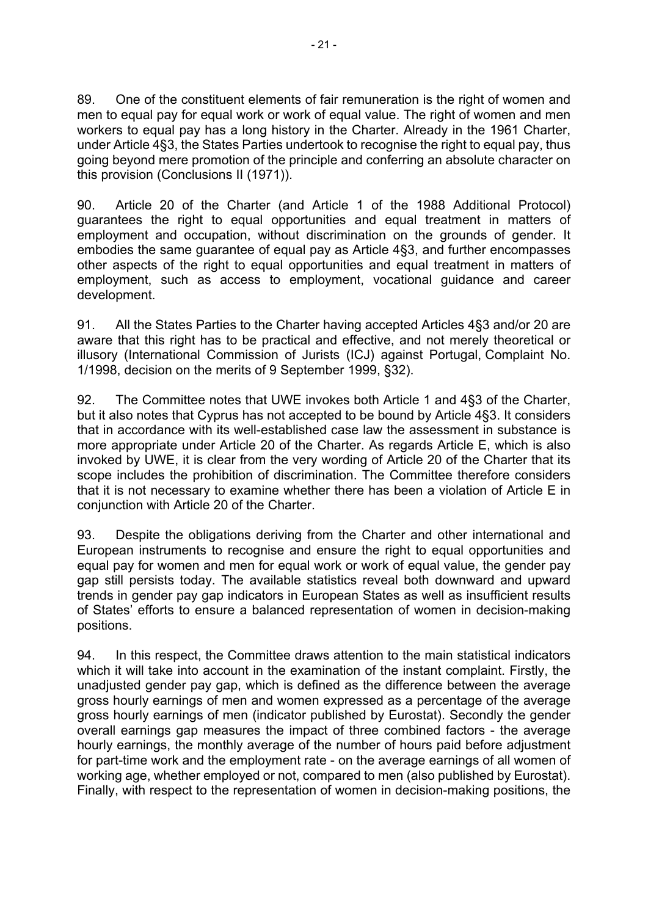89. One of the constituent elements of fair remuneration is the right of women and men to equal pay for equal work or work of equal value. The right of women and men workers to equal pay has a long history in the Charter. Already in the 1961 Charter, under Article 4§3, the States Parties undertook to recognise the right to equal pay, thus going beyond mere promotion of the principle and conferring an absolute character on this provision (Conclusions II (1971)).

90. Article 20 of the Charter (and Article 1 of the 1988 Additional Protocol) guarantees the right to equal opportunities and equal treatment in matters of employment and occupation, without discrimination on the grounds of gender. It embodies the same guarantee of equal pay as Article 4§3, and further encompasses other aspects of the right to equal opportunities and equal treatment in matters of employment, such as access to employment, vocational guidance and career development.

91. All the States Parties to the Charter having accepted Articles 4§3 and/or 20 are aware that this right has to be practical and effective, and not merely theoretical or illusory (International Commission of Jurists (ICJ) against Portugal, Complaint No. 1/1998, decision on the merits of 9 September 1999, §32).

92. The Committee notes that UWE invokes both Article 1 and 4§3 of the Charter, but it also notes that Cyprus has not accepted to be bound by Article 4§3. It considers that in accordance with its well-established case law the assessment in substance is more appropriate under Article 20 of the Charter. As regards Article E, which is also invoked by UWE, it is clear from the very wording of Article 20 of the Charter that its scope includes the prohibition of discrimination. The Committee therefore considers that it is not necessary to examine whether there has been a violation of Article E in conjunction with Article 20 of the Charter.

93. Despite the obligations deriving from the Charter and other international and European instruments to recognise and ensure the right to equal opportunities and equal pay for women and men for equal work or work of equal value, the gender pay gap still persists today. The available statistics reveal both downward and upward trends in gender pay gap indicators in European States as well as insufficient results of States' efforts to ensure a balanced representation of women in decision-making positions.

94. In this respect, the Committee draws attention to the main statistical indicators which it will take into account in the examination of the instant complaint. Firstly, the unadjusted gender pay gap, which is defined as the difference between the average gross hourly earnings of men and women expressed as a percentage of the average gross hourly earnings of men (indicator published by Eurostat). Secondly the gender overall earnings gap measures the impact of three combined factors - the average hourly earnings, the monthly average of the number of hours paid before adjustment for part-time work and the employment rate - on the average earnings of all women of working age, whether employed or not, compared to men (also published by Eurostat). Finally, with respect to the representation of women in decision-making positions, the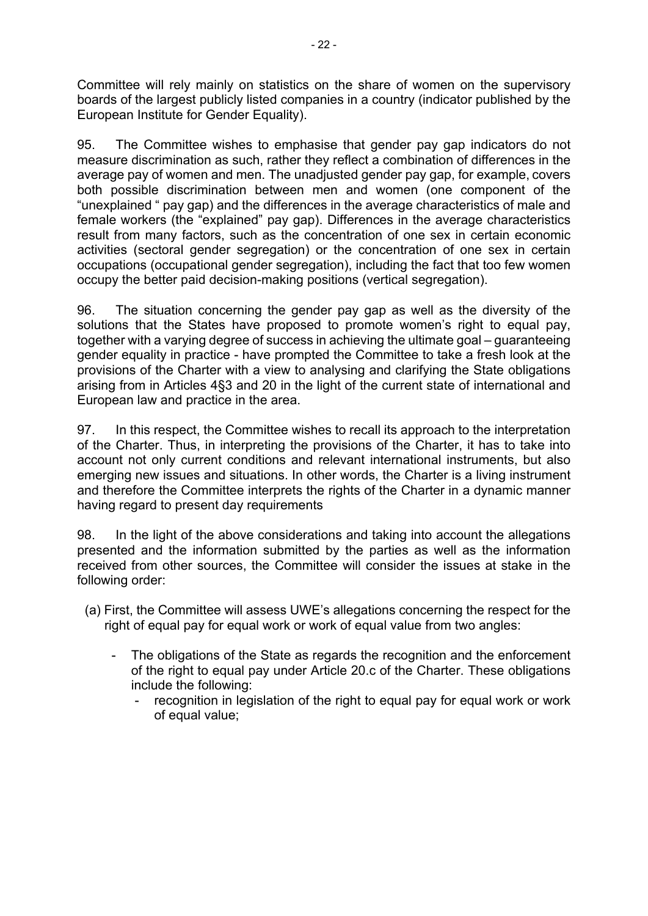Committee will rely mainly on statistics on the share of women on the supervisory boards of the largest publicly listed companies in a country (indicator published by the European Institute for Gender Equality).

95. The Committee wishes to emphasise that gender pay gap indicators do not measure discrimination as such, rather they reflect a combination of differences in the average pay of women and men. The unadjusted gender pay gap, for example, covers both possible discrimination between men and women (one component of the "unexplained " pay gap) and the differences in the average characteristics of male and female workers (the "explained" pay gap). Differences in the average characteristics result from many factors, such as the concentration of one sex in certain economic activities (sectoral gender segregation) or the concentration of one sex in certain occupations (occupational gender segregation), including the fact that too few women occupy the better paid decision-making positions (vertical segregation).

96. The situation concerning the gender pay gap as well as the diversity of the solutions that the States have proposed to promote women's right to equal pay, together with a varying degree of success in achieving the ultimate goal – guaranteeing gender equality in practice - have prompted the Committee to take a fresh look at the provisions of the Charter with a view to analysing and clarifying the State obligations arising from in Articles 4§3 and 20 in the light of the current state of international and European law and practice in the area.

97. In this respect, the Committee wishes to recall its approach to the interpretation of the Charter. Thus, in interpreting the provisions of the Charter, it has to take into account not only current conditions and relevant international instruments, but also emerging new issues and situations. In other words, the Charter is a living instrument and therefore the Committee interprets the rights of the Charter in a dynamic manner having regard to present day requirements

98. In the light of the above considerations and taking into account the allegations presented and the information submitted by the parties as well as the information received from other sources, the Committee will consider the issues at stake in the following order:

- (a) First, the Committee will assess UWE's allegations concerning the respect for the right of equal pay for equal work or work of equal value from two angles:
	- The obligations of the State as regards the recognition and the enforcement of the right to equal pay under Article 20.c of the Charter. These obligations include the following:
		- recognition in legislation of the right to equal pay for equal work or work of equal value;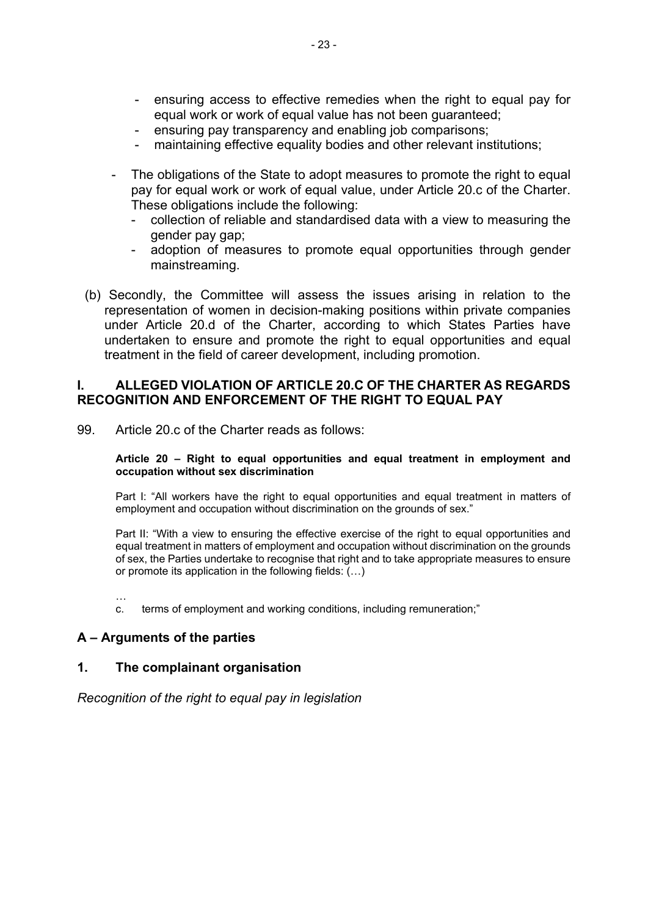- ensuring access to effective remedies when the right to equal pay for equal work or work of equal value has not been quaranteed:
- ensuring pay transparency and enabling job comparisons;
- maintaining effective equality bodies and other relevant institutions;
- The obligations of the State to adopt measures to promote the right to equal pay for equal work or work of equal value, under Article 20.c of the Charter. These obligations include the following:
	- collection of reliable and standardised data with a view to measuring the gender pay gap;
	- adoption of measures to promote equal opportunities through gender mainstreaming.
- (b) Secondly, the Committee will assess the issues arising in relation to the representation of women in decision-making positions within private companies under Article 20.d of the Charter, according to which States Parties have undertaken to ensure and promote the right to equal opportunities and equal treatment in the field of career development, including promotion.

### **I. ALLEGED VIOLATION OF ARTICLE 20.C OF THE CHARTER AS REGARDS RECOGNITION AND ENFORCEMENT OF THE RIGHT TO EQUAL PAY**

99. Article 20.c of the Charter reads as follows:

#### **Article 20 – Right to equal opportunities and equal treatment in employment and occupation without sex discrimination**

Part I: "All workers have the right to equal opportunities and equal treatment in matters of employment and occupation without discrimination on the grounds of sex."

Part II: "With a view to ensuring the effective exercise of the right to equal opportunities and equal treatment in matters of employment and occupation without discrimination on the grounds of sex, the Parties undertake to recognise that right and to take appropriate measures to ensure or promote its application in the following fields: (…)

…

c. terms of employment and working conditions, including remuneration;"

### **A – Arguments of the parties**

#### **1. The complainant organisation**

*Recognition of the right to equal pay in legislation*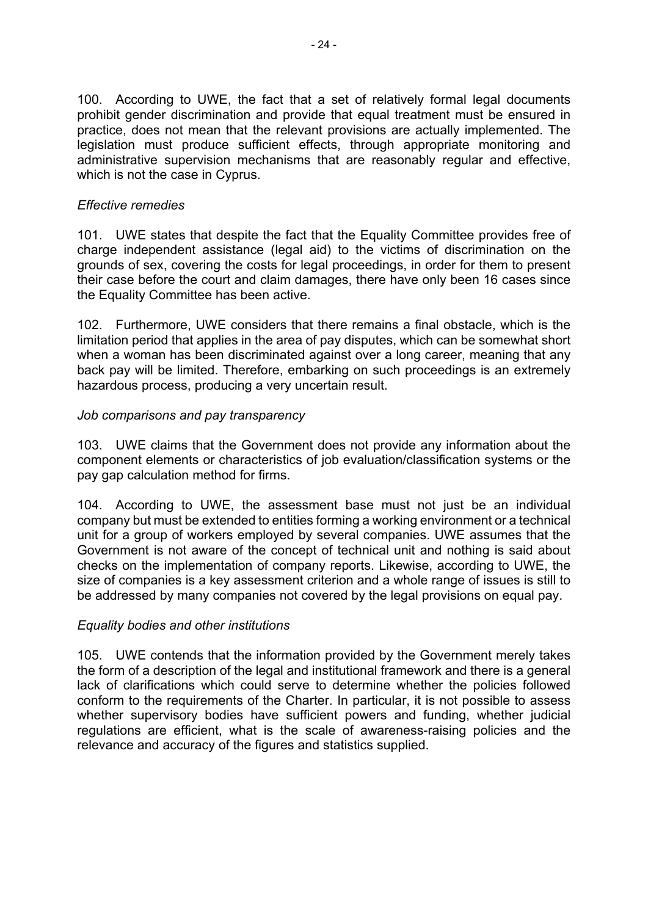100. According to UWE, the fact that a set of relatively formal legal documents prohibit gender discrimination and provide that equal treatment must be ensured in practice, does not mean that the relevant provisions are actually implemented. The legislation must produce sufficient effects, through appropriate monitoring and administrative supervision mechanisms that are reasonably regular and effective, which is not the case in Cyprus.

# *Effective remedies*

101. UWE states that despite the fact that the Equality Committee provides free of charge independent assistance (legal aid) to the victims of discrimination on the grounds of sex, covering the costs for legal proceedings, in order for them to present their case before the court and claim damages, there have only been 16 cases since the Equality Committee has been active.

102. Furthermore, UWE considers that there remains a final obstacle, which is the limitation period that applies in the area of pay disputes, which can be somewhat short when a woman has been discriminated against over a long career, meaning that any back pay will be limited. Therefore, embarking on such proceedings is an extremely hazardous process, producing a very uncertain result.

# *Job comparisons and pay transparency*

103. UWE claims that the Government does not provide any information about the component elements or characteristics of job evaluation/classification systems or the pay gap calculation method for firms.

104. According to UWE, the assessment base must not just be an individual company but must be extended to entities forming a working environment or a technical unit for a group of workers employed by several companies. UWE assumes that the Government is not aware of the concept of technical unit and nothing is said about checks on the implementation of company reports. Likewise, according to UWE, the size of companies is a key assessment criterion and a whole range of issues is still to be addressed by many companies not covered by the legal provisions on equal pay.

# *Equality bodies and other institutions*

105. UWE contends that the information provided by the Government merely takes the form of a description of the legal and institutional framework and there is a general lack of clarifications which could serve to determine whether the policies followed conform to the requirements of the Charter. In particular, it is not possible to assess whether supervisory bodies have sufficient powers and funding, whether judicial regulations are efficient, what is the scale of awareness-raising policies and the relevance and accuracy of the figures and statistics supplied.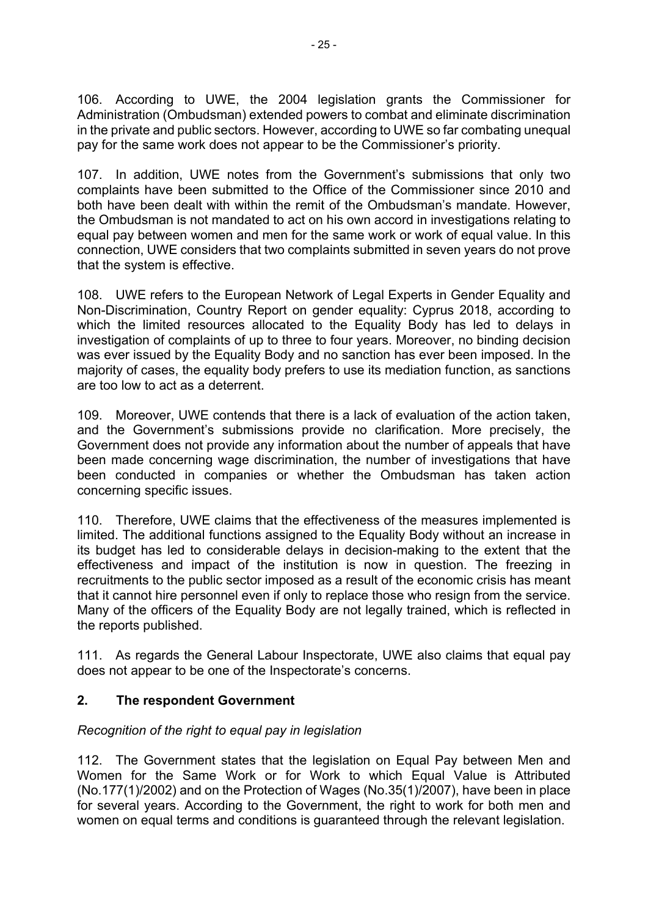106. According to UWE, the 2004 legislation grants the Commissioner for Administration (Ombudsman) extended powers to combat and eliminate discrimination in the private and public sectors. However, according to UWE so far combating unequal pay for the same work does not appear to be the Commissioner's priority.

107. In addition, UWE notes from the Government's submissions that only two complaints have been submitted to the Office of the Commissioner since 2010 and both have been dealt with within the remit of the Ombudsman's mandate. However, the Ombudsman is not mandated to act on his own accord in investigations relating to equal pay between women and men for the same work or work of equal value. In this connection, UWE considers that two complaints submitted in seven years do not prove that the system is effective.

108. UWE refers to the European Network of Legal Experts in Gender Equality and Non-Discrimination, Country Report on gender equality: Cyprus 2018, according to which the limited resources allocated to the Equality Body has led to delays in investigation of complaints of up to three to four years. Moreover, no binding decision was ever issued by the Equality Body and no sanction has ever been imposed. In the majority of cases, the equality body prefers to use its mediation function, as sanctions are too low to act as a deterrent.

109. Moreover, UWE contends that there is a lack of evaluation of the action taken, and the Government's submissions provide no clarification. More precisely, the Government does not provide any information about the number of appeals that have been made concerning wage discrimination, the number of investigations that have been conducted in companies or whether the Ombudsman has taken action concerning specific issues.

110. Therefore, UWE claims that the effectiveness of the measures implemented is limited. The additional functions assigned to the Equality Body without an increase in its budget has led to considerable delays in decision-making to the extent that the effectiveness and impact of the institution is now in question. The freezing in recruitments to the public sector imposed as a result of the economic crisis has meant that it cannot hire personnel even if only to replace those who resign from the service. Many of the officers of the Equality Body are not legally trained, which is reflected in the reports published.

111. As regards the General Labour Inspectorate, UWE also claims that equal pay does not appear to be one of the Inspectorate's concerns.

# **2. The respondent Government**

# *Recognition of the right to equal pay in legislation*

112. The Government states that the legislation on Equal Pay between Men and Women for the Same Work or for Work to which Equal Value is Attributed (No.177(1)/2002) and on the Protection of Wages (No.35(1)/2007), have been in place for several years. According to the Government, the right to work for both men and women on equal terms and conditions is quaranteed through the relevant legislation.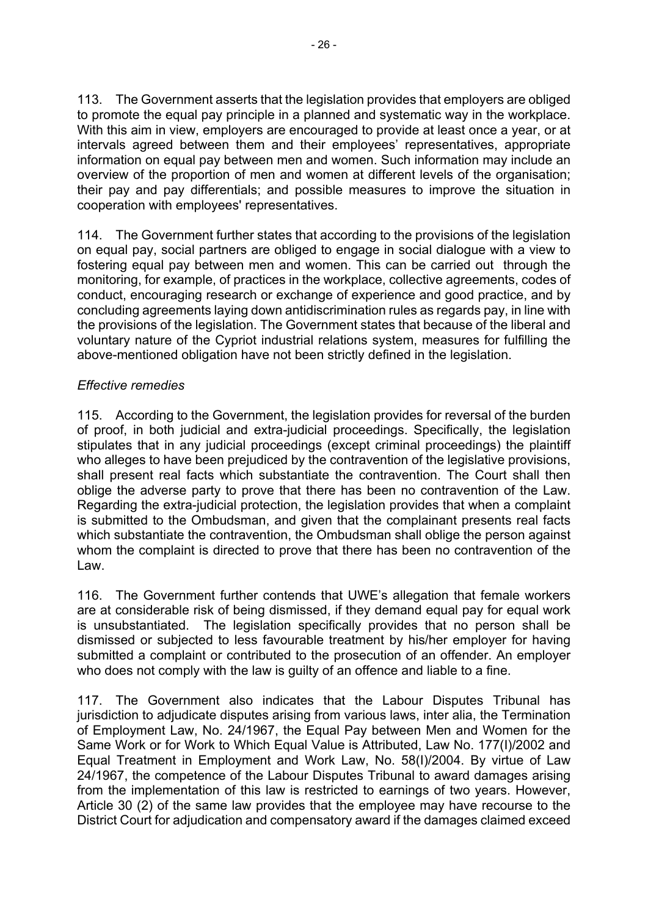113. The Government asserts that the legislation provides that employers are obliged to promote the equal pay principle in a planned and systematic way in the workplace. With this aim in view, employers are encouraged to provide at least once a year, or at intervals agreed between them and their employees' representatives, appropriate information on equal pay between men and women. Such information may include an overview of the proportion of men and women at different levels of the organisation; their pay and pay differentials; and possible measures to improve the situation in cooperation with employees' representatives.

114. The Government further states that according to the provisions of the legislation on equal pay, social partners are obliged to engage in social dialogue with a view to fostering equal pay between men and women. This can be carried out through the monitoring, for example, of practices in the workplace, collective agreements, codes of conduct, encouraging research or exchange of experience and good practice, and by concluding agreements laying down antidiscrimination rules as regards pay, in line with the provisions of the legislation. The Government states that because of the liberal and voluntary nature of the Cypriot industrial relations system, measures for fulfilling the above-mentioned obligation have not been strictly defined in the legislation.

# *Effective remedies*

115. According to the Government, the legislation provides for reversal of the burden of proof, in both judicial and extra-judicial proceedings. Specifically, the legislation stipulates that in any judicial proceedings (except criminal proceedings) the plaintiff who alleges to have been prejudiced by the contravention of the legislative provisions, shall present real facts which substantiate the contravention. The Court shall then oblige the adverse party to prove that there has been no contravention of the Law. Regarding the extra-judicial protection, the legislation provides that when a complaint is submitted to the Ombudsman, and given that the complainant presents real facts which substantiate the contravention, the Ombudsman shall oblige the person against whom the complaint is directed to prove that there has been no contravention of the Law.

116. The Government further contends that UWE's allegation that female workers are at considerable risk of being dismissed, if they demand equal pay for equal work is unsubstantiated. The legislation specifically provides that no person shall be dismissed or subjected to less favourable treatment by his/her employer for having submitted a complaint or contributed to the prosecution of an offender. An employer who does not comply with the law is guilty of an offence and liable to a fine.

117. The Government also indicates that the Labour Disputes Tribunal has jurisdiction to adjudicate disputes arising from various laws, inter alia, the Termination of Employment Law, No. 24/1967, the Equal Pay between Men and Women for the Same Work or for Work to Which Equal Value is Attributed, Law No. 177(I)/2002 and Equal Treatment in Employment and Work Law, No. 58(I)/2004. By virtue of Law 24/1967, the competence of the Labour Disputes Tribunal to award damages arising from the implementation of this law is restricted to earnings of two years. However, Article 30 (2) of the same law provides that the employee may have recourse to the District Court for adjudication and compensatory award if the damages claimed exceed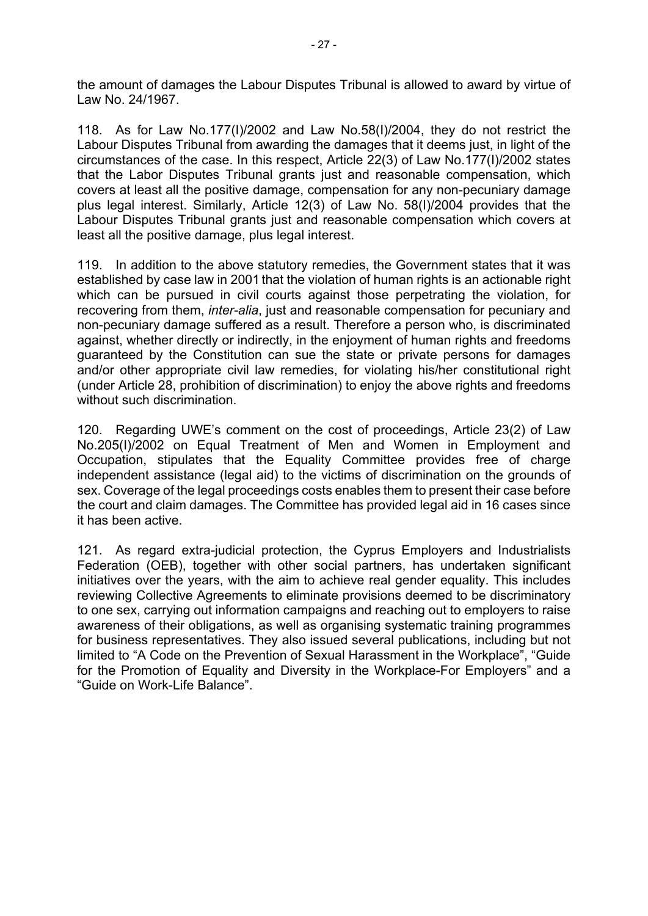the amount of damages the Labour Disputes Tribunal is allowed to award by virtue of Law No. 24/1967.

118. As for Law No.177(I)/2002 and Law No.58(I)/2004, they do not restrict the Labour Disputes Tribunal from awarding the damages that it deems just, in light of the circumstances of the case. In this respect, Article 22(3) of Law No.177(I)/2002 states that the Labor Disputes Tribunal grants just and reasonable compensation, which covers at least all the positive damage, compensation for any non-pecuniary damage plus legal interest. Similarly, Article 12(3) of Law No. 58(I)/2004 provides that the Labour Disputes Tribunal grants just and reasonable compensation which covers at least all the positive damage, plus legal interest.

119. In addition to the above statutory remedies, the Government states that it was established by case law in 2001 that the violation of human rights is an actionable right which can be pursued in civil courts against those perpetrating the violation, for recovering from them, *inter-alia*, just and reasonable compensation for pecuniary and non-pecuniary damage suffered as a result. Therefore a person who, is discriminated against, whether directly or indirectly, in the enjoyment of human rights and freedoms guaranteed by the Constitution can sue the state or private persons for damages and/or other appropriate civil law remedies, for violating his/her constitutional right (under Article 28, prohibition of discrimination) to enjoy the above rights and freedoms without such discrimination.

120. Regarding UWE's comment on the cost of proceedings, Article 23(2) of Law No.205(I)/2002 on Equal Treatment of Men and Women in Employment and Occupation, stipulates that the Equality Committee provides free of charge independent assistance (legal aid) to the victims of discrimination on the grounds of sex. Coverage of the legal proceedings costs enables them to present their case before the court and claim damages. The Committee has provided legal aid in 16 cases since it has been active.

121. As regard extra-judicial protection, the Cyprus Employers and Industrialists Federation (OEB), together with other social partners, has undertaken significant initiatives over the years, with the aim to achieve real gender equality. This includes reviewing Collective Agreements to eliminate provisions deemed to be discriminatory to one sex, carrying out information campaigns and reaching out to employers to raise awareness of their obligations, as well as organising systematic training programmes for business representatives. They also issued several publications, including but not limited to "A Code on the Prevention of Sexual Harassment in the Workplace", "Guide for the Promotion of Equality and Diversity in the Workplace-For Employers" and a "Guide on Work-Life Balance".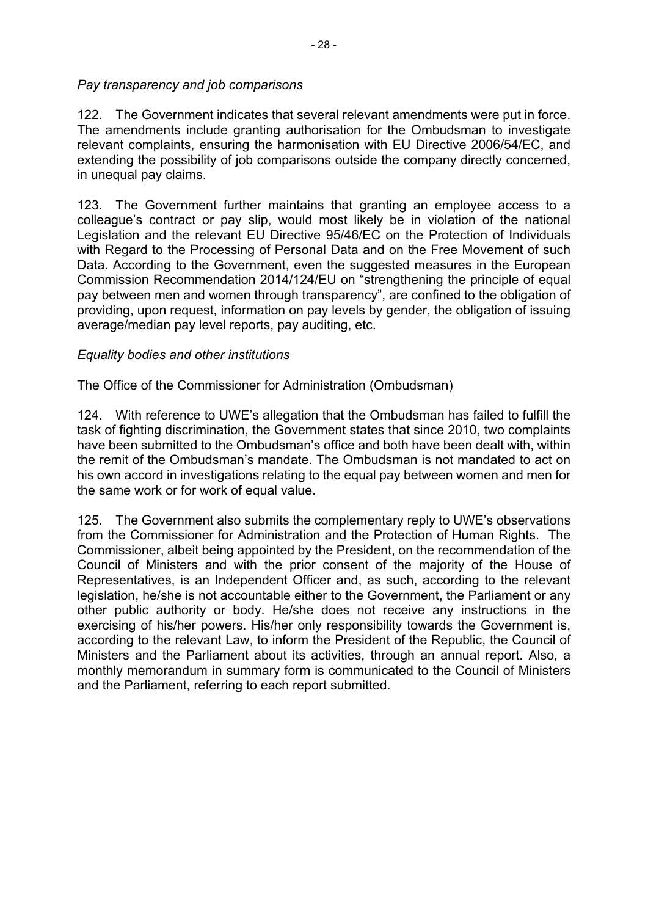### *Pay transparency and job comparisons*

122. The Government indicates that several relevant amendments were put in force. The amendments include granting authorisation for the Ombudsman to investigate relevant complaints, ensuring the harmonisation with EU Directive 2006/54/EC, and extending the possibility of job comparisons outside the company directly concerned, in unequal pay claims.

123. The Government further maintains that granting an employee access to a colleague's contract or pay slip, would most likely be in violation of the national Legislation and the relevant EU Directive 95/46/EC on the Protection of Individuals with Regard to the Processing of Personal Data and on the Free Movement of such Data. According to the Government, even the suggested measures in the European Commission Recommendation 2014/124/EU on "strengthening the principle of equal pay between men and women through transparency", are confined to the obligation of providing, upon request, information on pay levels by gender, the obligation of issuing average/median pay level reports, pay auditing, etc.

# *Equality bodies and other institutions*

The Office of the Commissioner for Administration (Ombudsman)

124. With reference to UWE's allegation that the Ombudsman has failed to fulfill the task of fighting discrimination, the Government states that since 2010, two complaints have been submitted to the Ombudsman's office and both have been dealt with, within the remit of the Ombudsman's mandate. The Ombudsman is not mandated to act on his own accord in investigations relating to the equal pay between women and men for the same work or for work of equal value.

125. The Government also submits the complementary reply to UWE's observations from the Commissioner for Administration and the Protection of Human Rights. The Commissioner, albeit being appointed by the President, on the recommendation of the Council of Ministers and with the prior consent of the majority of the House of Representatives, is an Independent Officer and, as such, according to the relevant legislation, he/she is not accountable either to the Government, the Parliament or any other public authority or body. He/she does not receive any instructions in the exercising of his/her powers. His/her only responsibility towards the Government is, according to the relevant Law, to inform the President of the Republic, the Council of Ministers and the Parliament about its activities, through an annual report. Also, a monthly memorandum in summary form is communicated to the Council of Ministers and the Parliament, referring to each report submitted.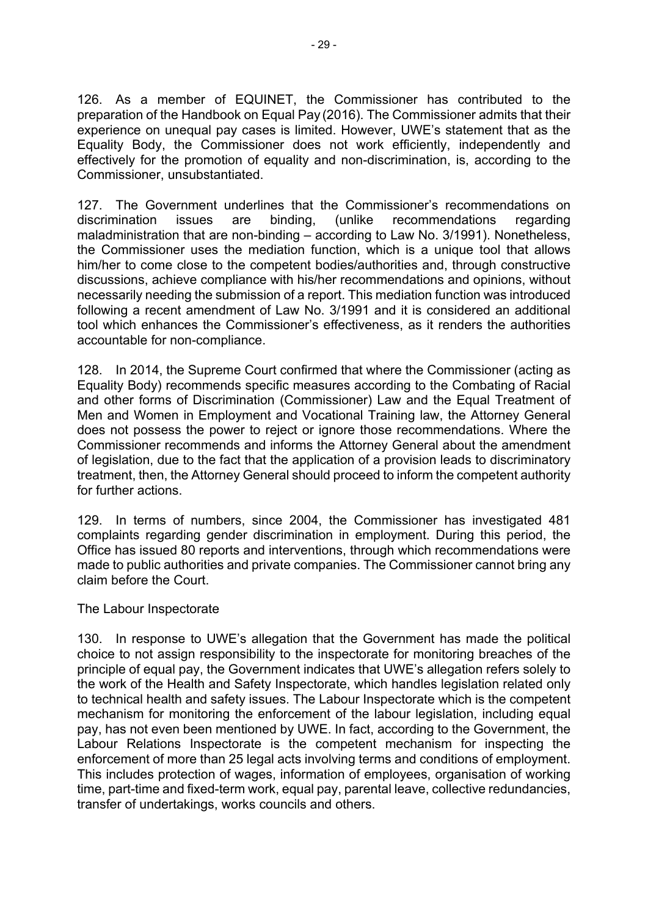126. As a member of EQUINET, the Commissioner has contributed to the preparation of the Handbook on Equal Pay (2016). The Commissioner admits that their experience on unequal pay cases is limited. However, UWE's statement that as the Equality Body, the Commissioner does not work efficiently, independently and effectively for the promotion of equality and non-discrimination, is, according to the Commissioner, unsubstantiated.

127. The Government underlines that the Commissioner's recommendations on discrimination issues are binding, (unlike recommendations regarding maladministration that are non-binding – according to Law No. 3/1991). Nonetheless, the Commissioner uses the mediation function, which is a unique tool that allows him/her to come close to the competent bodies/authorities and, through constructive discussions, achieve compliance with his/her recommendations and opinions, without necessarily needing the submission of a report. This mediation function was introduced following a recent amendment of Law No. 3/1991 and it is considered an additional tool which enhances the Commissioner's effectiveness, as it renders the authorities accountable for non-compliance.

128. In 2014, the Supreme Court confirmed that where the Commissioner (acting as Equality Body) recommends specific measures according to the Combating of Racial and other forms of Discrimination (Commissioner) Law and the Equal Treatment of Men and Women in Employment and Vocational Training law, the Attorney General does not possess the power to reject or ignore those recommendations. Where the Commissioner recommends and informs the Attorney General about the amendment of legislation, due to the fact that the application of a provision leads to discriminatory treatment, then, the Attorney General should proceed to inform the competent authority for further actions.

129. In terms of numbers, since 2004, the Commissioner has investigated 481 complaints regarding gender discrimination in employment. During this period, the Office has issued 80 reports and interventions, through which recommendations were made to public authorities and private companies. The Commissioner cannot bring any claim before the Court.

The Labour Inspectorate

130. In response to UWE's allegation that the Government has made the political choice to not assign responsibility to the inspectorate for monitoring breaches of the principle of equal pay, the Government indicates that UWE's allegation refers solely to the work of the Health and Safety Inspectorate, which handles legislation related only to technical health and safety issues. The Labour Inspectorate which is the competent mechanism for monitoring the enforcement of the labour legislation, including equal pay, has not even been mentioned by UWE. In fact, according to the Government, the Labour Relations Inspectorate is the competent mechanism for inspecting the enforcement of more than 25 legal acts involving terms and conditions of employment. This includes protection of wages, information of employees, organisation of working time, part-time and fixed-term work, equal pay, parental leave, collective redundancies, transfer of undertakings, works councils and others.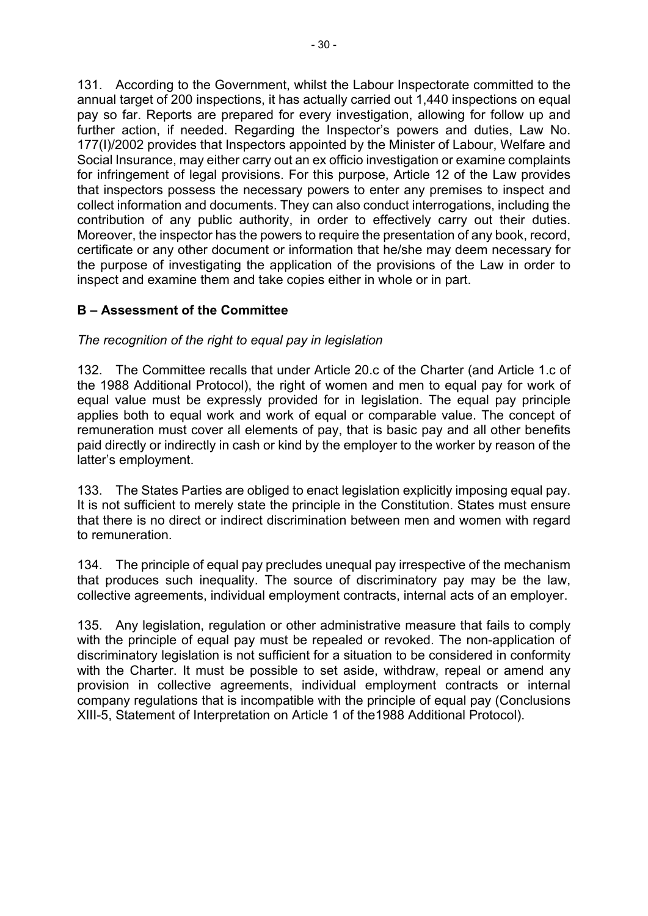131. According to the Government, whilst the Labour Inspectorate committed to the annual target of 200 inspections, it has actually carried out 1,440 inspections on equal pay so far. Reports are prepared for every investigation, allowing for follow up and further action, if needed. Regarding the Inspector's powers and duties, Law No. 177(I)/2002 provides that Inspectors appointed by the Minister of Labour, Welfare and Social Insurance, may either carry out an ex officio investigation or examine complaints for infringement of legal provisions. For this purpose, Article 12 of the Law provides that inspectors possess the necessary powers to enter any premises to inspect and collect information and documents. They can also conduct interrogations, including the contribution of any public authority, in order to effectively carry out their duties. Moreover, the inspector has the powers to require the presentation of any book, record, certificate or any other document or information that he/she may deem necessary for the purpose of investigating the application of the provisions of the Law in order to inspect and examine them and take copies either in whole or in part.

# **B – Assessment of the Committee**

# *The recognition of the right to equal pay in legislation*

132. The Committee recalls that under Article 20.c of the Charter (and Article 1.c of the 1988 Additional Protocol), the right of women and men to equal pay for work of equal value must be expressly provided for in legislation. The equal pay principle applies both to equal work and work of equal or comparable value. The concept of remuneration must cover all elements of pay, that is basic pay and all other benefits paid directly or indirectly in cash or kind by the employer to the worker by reason of the latter's employment.

133. The States Parties are obliged to enact legislation explicitly imposing equal pay. It is not sufficient to merely state the principle in the Constitution. States must ensure that there is no direct or indirect discrimination between men and women with regard to remuneration.

134. The principle of equal pay precludes unequal pay irrespective of the mechanism that produces such inequality. The source of discriminatory pay may be the law, collective agreements, individual employment contracts, internal acts of an employer.

135. Any legislation, regulation or other administrative measure that fails to comply with the principle of equal pay must be repealed or revoked. The non-application of discriminatory legislation is not sufficient for a situation to be considered in conformity with the Charter. It must be possible to set aside, withdraw, repeal or amend any provision in collective agreements, individual employment contracts or internal company regulations that is incompatible with the principle of equal pay (Conclusions XIII-5, Statement of Interpretation on Article 1 of the1988 Additional Protocol).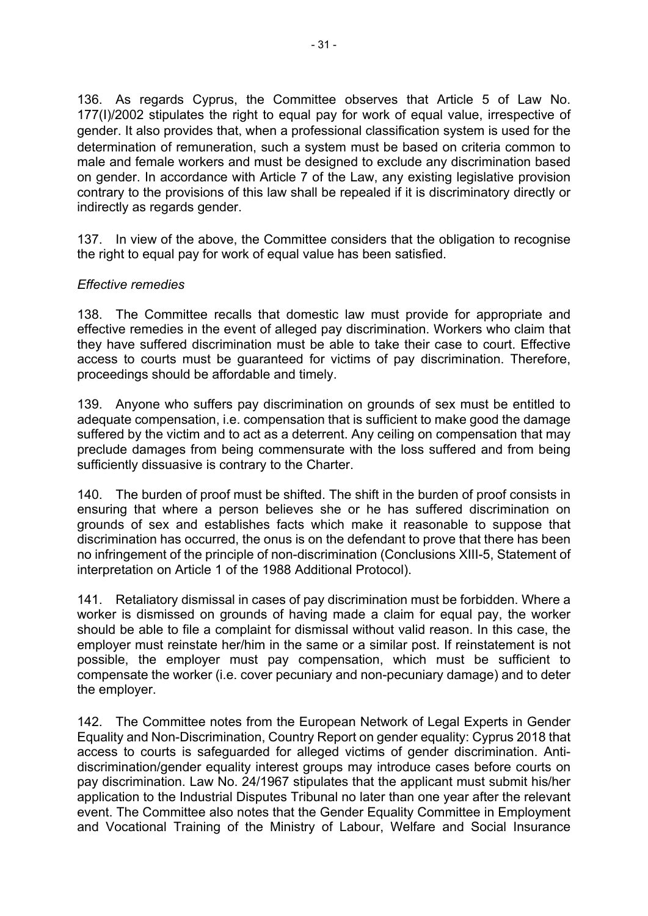136. As regards Cyprus, the Committee observes that Article 5 of Law No. 177(I)/2002 stipulates the right to equal pay for work of equal value, irrespective of gender. It also provides that, when a professional classification system is used for the determination of remuneration, such a system must be based on criteria common to male and female workers and must be designed to exclude any discrimination based on gender. In accordance with Article 7 of the Law, any existing legislative provision contrary to the provisions of this law shall be repealed if it is discriminatory directly or indirectly as regards gender.

137. In view of the above, the Committee considers that the obligation to recognise the right to equal pay for work of equal value has been satisfied.

### *Effective remedies*

138. The Committee recalls that domestic law must provide for appropriate and effective remedies in the event of alleged pay discrimination. Workers who claim that they have suffered discrimination must be able to take their case to court. Effective access to courts must be guaranteed for victims of pay discrimination. Therefore, proceedings should be affordable and timely.

139. Anyone who suffers pay discrimination on grounds of sex must be entitled to adequate compensation, i.e. compensation that is sufficient to make good the damage suffered by the victim and to act as a deterrent. Any ceiling on compensation that may preclude damages from being commensurate with the loss suffered and from being sufficiently dissuasive is contrary to the Charter.

140. The burden of proof must be shifted. The shift in the burden of proof consists in ensuring that where a person believes she or he has suffered discrimination on grounds of sex and establishes facts which make it reasonable to suppose that discrimination has occurred, the onus is on the defendant to prove that there has been no infringement of the principle of non-discrimination (Conclusions XIII-5, Statement of interpretation on Article 1 of the 1988 Additional Protocol).

141. Retaliatory dismissal in cases of pay discrimination must be forbidden. Where a worker is dismissed on grounds of having made a claim for equal pay, the worker should be able to file a complaint for dismissal without valid reason. In this case, the employer must reinstate her/him in the same or a similar post. If reinstatement is not possible, the employer must pay compensation, which must be sufficient to compensate the worker (i.e. cover pecuniary and non-pecuniary damage) and to deter the employer.

142. The Committee notes from the European Network of Legal Experts in Gender Equality and Non-Discrimination, Country Report on gender equality: Cyprus 2018 that access to courts is safeguarded for alleged victims of gender discrimination. Antidiscrimination/gender equality interest groups may introduce cases before courts on pay discrimination. Law No. 24/1967 stipulates that the applicant must submit his/her application to the Industrial Disputes Tribunal no later than one year after the relevant event. The Committee also notes that the Gender Equality Committee in Employment and Vocational Training of the Ministry of Labour, Welfare and Social [Insurance](http://www.mlsi.gov.cy/mlsi/mlsi.nsf/index_en/index_en?OpenDocument)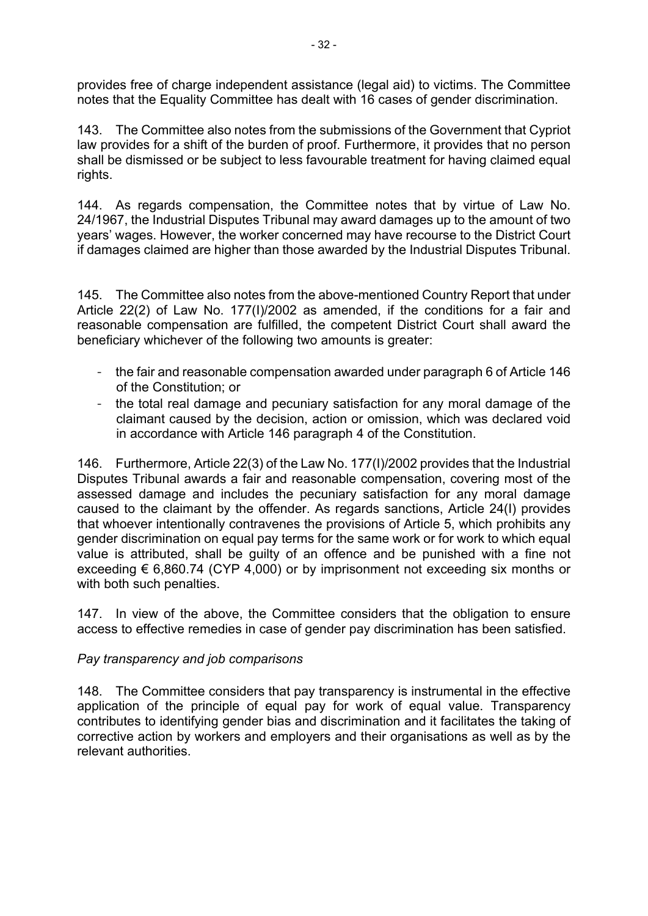provides free of charge independent assistance (legal aid) to victims. The Committee notes that the Equality Committee has dealt with 16 cases of gender discrimination.

143. The Committee also notes from the submissions of the Government that Cypriot law provides for a shift of the burden of proof. Furthermore, it provides that no person shall be dismissed or be subject to less favourable treatment for having claimed equal rights.

144. As regards compensation, the Committee notes that by virtue of Law No. 24/1967, the Industrial Disputes Tribunal may award damages up to the amount of two years' wages. However, the worker concerned may have recourse to the District Court if damages claimed are higher than those awarded by the Industrial Disputes Tribunal.

145. The Committee also notes from the above-mentioned Country Report that under Article 22(2) of Law No. 177(I)/2002 as amended, if the conditions for a fair and reasonable compensation are fulfilled, the competent District Court shall award the beneficiary whichever of the following two amounts is greater:

- the fair and reasonable compensation awarded under paragraph 6 of Article 146 of the Constitution; or
- the total real damage and pecuniary satisfaction for any moral damage of the claimant caused by the decision, action or omission, which was declared void in accordance with Article 146 paragraph 4 of the Constitution.

146. Furthermore, Article 22(3) of the Law No. 177(I)/2002 provides that the Industrial Disputes Tribunal awards a fair and reasonable compensation, covering most of the assessed damage and includes the pecuniary satisfaction for any moral damage caused to the claimant by the offender. As regards sanctions, Article 24(I) provides that whoever intentionally contravenes the provisions of Article 5, which prohibits any gender discrimination on equal pay terms for the same work or for work to which equal value is attributed, shall be guilty of an offence and be punished with a fine not exceeding  $\epsilon$  6,860.74 (CYP 4,000) or by imprisonment not exceeding six months or with both such penalties.

147. In view of the above, the Committee considers that the obligation to ensure access to effective remedies in case of gender pay discrimination has been satisfied.

# *Pay transparency and job comparisons*

148. The Committee considers that pay transparency is instrumental in the effective application of the principle of equal pay for work of equal value. Transparency contributes to identifying gender bias and discrimination and it facilitates the taking of corrective action by workers and employers and their organisations as well as by the relevant authorities.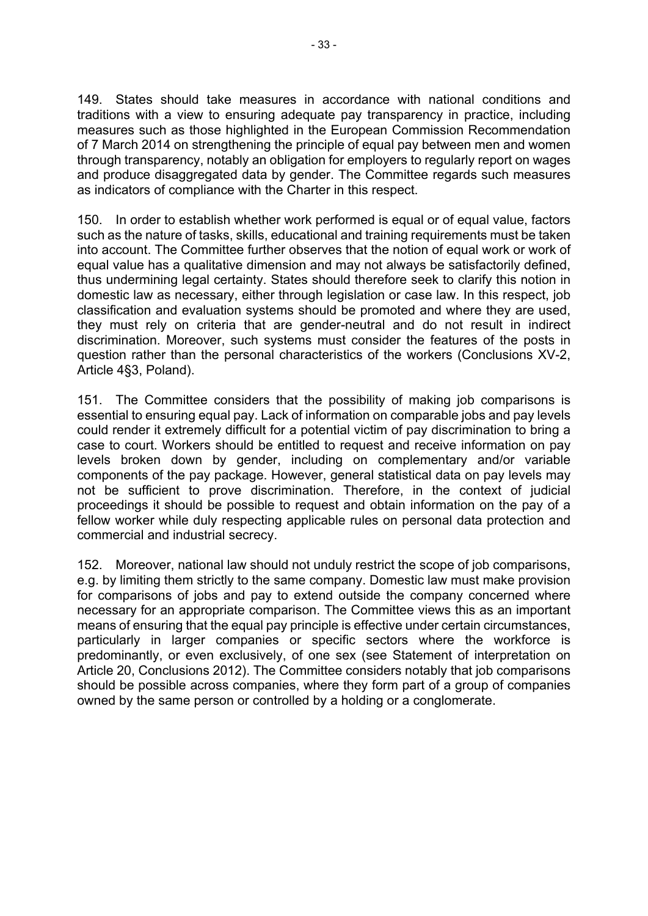149. States should take measures in accordance with national conditions and traditions with a view to ensuring adequate pay transparency in practice, including measures such as those highlighted in the European Commission Recommendation of 7 March 2014 on strengthening the principle of equal pay between men and women through transparency, notably an obligation for employers to regularly report on wages and produce disaggregated data by gender. The Committee regards such measures as indicators of compliance with the Charter in this respect.

150. In order to establish whether work performed is equal or of equal value, factors such as the nature of tasks, skills, educational and training requirements must be taken into account. The Committee further observes that the notion of equal work or work of equal value has a qualitative dimension and may not always be satisfactorily defined, thus undermining legal certainty. States should therefore seek to clarify this notion in domestic law as necessary, either through legislation or case law. In this respect, job classification and evaluation systems should be promoted and where they are used, they must rely on criteria that are gender-neutral and do not result in indirect discrimination. Moreover, such systems must consider the features of the posts in question rather than the personal characteristics of the workers (Conclusions XV-2, Article 4§3, Poland).

151. The Committee considers that the possibility of making job comparisons is essential to ensuring equal pay. Lack of information on comparable jobs and pay levels could render it extremely difficult for a potential victim of pay discrimination to bring a case to court. Workers should be entitled to request and receive information on pay levels broken down by gender, including on complementary and/or variable components of the pay package. However, general statistical data on pay levels may not be sufficient to prove discrimination. Therefore, in the context of judicial proceedings it should be possible to request and obtain information on the pay of a fellow worker while duly respecting applicable rules on personal data protection and commercial and industrial secrecy.

152. Moreover, national law should not unduly restrict the scope of job comparisons, e.g. by limiting them strictly to the same company. Domestic law must make provision for comparisons of jobs and pay to extend outside the company concerned where necessary for an appropriate comparison. The Committee views this as an important means of ensuring that the equal pay principle is effective under certain circumstances, particularly in larger companies or specific sectors where the workforce is predominantly, or even exclusively, of one sex (see Statement of interpretation on Article 20, Conclusions 2012). The Committee considers notably that job comparisons should be possible across companies, where they form part of a group of companies owned by the same person or controlled by a holding or a conglomerate.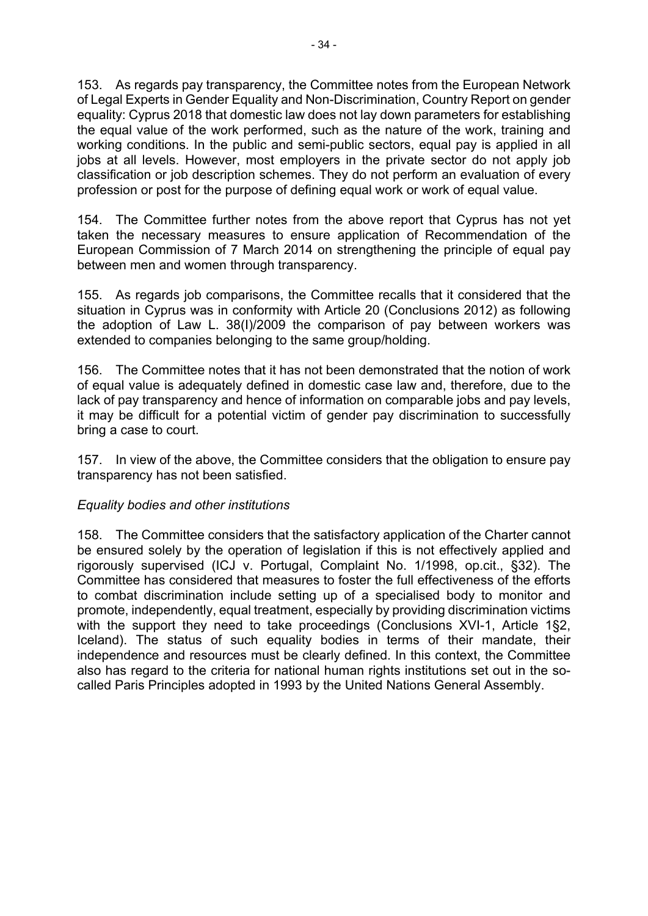153. As regards pay transparency, the Committee notes from the European Network of Legal Experts in Gender Equality and Non-Discrimination, Country Report on gender equality: Cyprus 2018 that domestic law does not lay down parameters for establishing the equal value of the work performed, such as the nature of the work, training and working conditions. In the public and semi-public sectors, equal pay is applied in all jobs at all levels. However, most employers in the private sector do not apply job classification or job description schemes. They do not perform an evaluation of every profession or post for the purpose of defining equal work or work of equal value.

154. The Committee further notes from the above report that Cyprus has not yet taken the necessary measures to ensure application of Recommendation of the European Commission of 7 March 2014 on strengthening the principle of equal pay between men and women through transparency.

155. As regards job comparisons, the Committee recalls that it considered that the situation in Cyprus was in conformity with Article 20 (Conclusions 2012) as following the adoption of Law L. 38(I)/2009 the comparison of pay between workers was extended to companies belonging to the same group/holding.

156. The Committee notes that it has not been demonstrated that the notion of work of equal value is adequately defined in domestic case law and, therefore, due to the lack of pay transparency and hence of information on comparable jobs and pay levels, it may be difficult for a potential victim of gender pay discrimination to successfully bring a case to court.

157. In view of the above, the Committee considers that the obligation to ensure pay transparency has not been satisfied.

### *Equality bodies and other institutions*

158. The Committee considers that the satisfactory application of the Charter cannot be ensured solely by the operation of legislation if this is not effectively applied and rigorously supervised (ICJ v. Portugal, Complaint No. 1/1998, op.cit., §32). The Committee has considered that measures to foster the full effectiveness of the efforts to combat discrimination include setting up of a specialised body to monitor and promote, independently, equal treatment, especially by providing discrimination victims with the support they need to take proceedings (Conclusions XVI-1, Article 1§2, Iceland). The status of such equality bodies in terms of their mandate, their independence and resources must be clearly defined. In this context, the Committee also has regard to the criteria for national human rights institutions set out in the socalled Paris Principles adopted in 1993 by the United Nations General Assembly.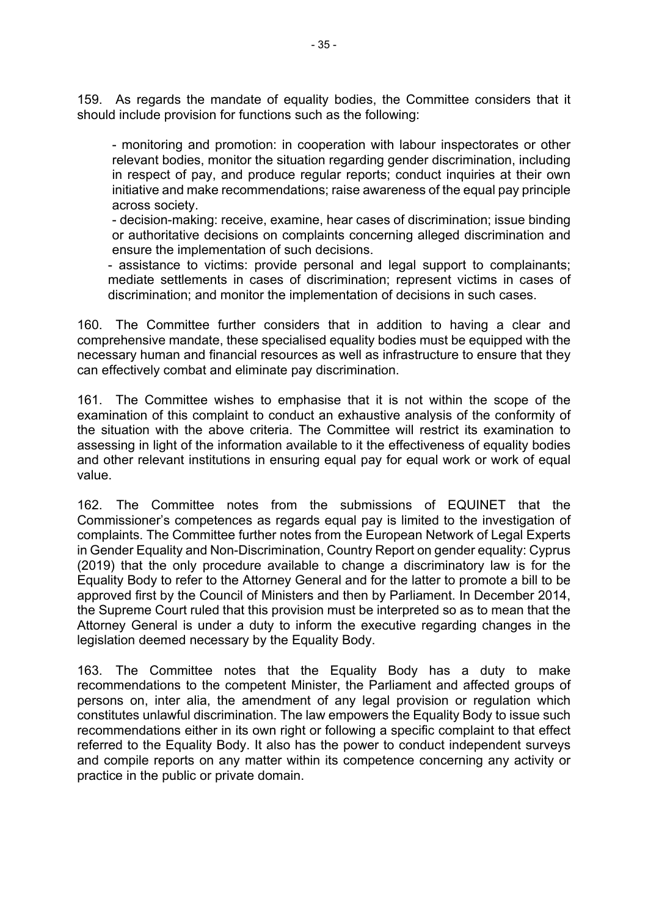159. As regards the mandate of equality bodies, the Committee considers that it should include provision for functions such as the following:

- monitoring and promotion: in cooperation with labour inspectorates or other relevant bodies, monitor the situation regarding gender discrimination, including in respect of pay, and produce regular reports; conduct inquiries at their own initiative and make recommendations; raise awareness of the equal pay principle across society.

- decision-making: receive, examine, hear cases of discrimination; issue binding or authoritative decisions on complaints concerning alleged discrimination and ensure the implementation of such decisions.

- assistance to victims: provide personal and legal support to complainants; mediate settlements in cases of discrimination; represent victims in cases of discrimination; and monitor the implementation of decisions in such cases.

160. The Committee further considers that in addition to having a clear and comprehensive mandate, these specialised equality bodies must be equipped with the necessary human and financial resources as well as infrastructure to ensure that they can effectively combat and eliminate pay discrimination.

161. The Committee wishes to emphasise that it is not within the scope of the examination of this complaint to conduct an exhaustive analysis of the conformity of the situation with the above criteria. The Committee will restrict its examination to assessing in light of the information available to it the effectiveness of equality bodies and other relevant institutions in ensuring equal pay for equal work or work of equal value.

162. The Committee notes from the submissions of EQUINET that the Commissioner's competences as regards equal pay is limited to the investigation of complaints. The Committee further notes from the European Network of Legal Experts in Gender Equality and Non-Discrimination, Country Report on gender equality: Cyprus (2019) that the only procedure available to change a discriminatory law is for the Equality Body to refer to the Attorney General and for the latter to promote a bill to be approved first by the Council of Ministers and then by Parliament. In December 2014, the Supreme Court ruled that this provision must be interpreted so as to mean that the Attorney General is under a duty to inform the executive regarding changes in the legislation deemed necessary by the Equality Body.

163. The Committee notes that the Equality Body has a duty to make recommendations to the competent Minister, the Parliament and affected groups of persons on, inter alia, the amendment of any legal provision or regulation which constitutes unlawful discrimination. The law empowers the Equality Body to issue such recommendations either in its own right or following a specific complaint to that effect referred to the Equality Body. It also has the power to conduct independent surveys and compile reports on any matter within its competence concerning any activity or practice in the public or private domain.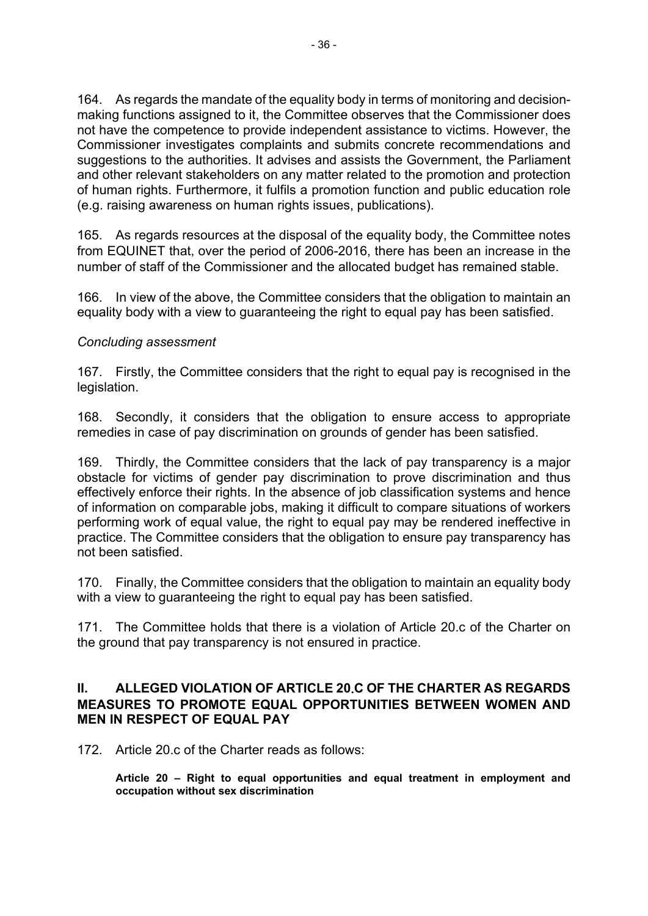164. As regards the mandate of the equality body in terms of monitoring and decisionmaking functions assigned to it, the Committee observes that the Commissioner does not have the competence to provide independent assistance to victims. However, the Commissioner investigates complaints and submits concrete recommendations and suggestions to the authorities. It advises and assists the Government, the Parliament and other relevant stakeholders on any matter related to the promotion and protection of human rights. Furthermore, it fulfils a promotion function and public education role (e.g. raising awareness on human rights issues, publications).

165. As regards resources at the disposal of the equality body, the Committee notes from EQUINET that, over the period of 2006-2016, there has been an increase in the number of staff of the Commissioner and the allocated budget has remained stable.

166. In view of the above, the Committee considers that the obligation to maintain an equality body with a view to guaranteeing the right to equal pay has been satisfied.

### *Concluding assessment*

167. Firstly, the Committee considers that the right to equal pay is recognised in the legislation.

168. Secondly, it considers that the obligation to ensure access to appropriate remedies in case of pay discrimination on grounds of gender has been satisfied.

169. Thirdly, the Committee considers that the lack of pay transparency is a major obstacle for victims of gender pay discrimination to prove discrimination and thus effectively enforce their rights. In the absence of job classification systems and hence of information on comparable jobs, making it difficult to compare situations of workers performing work of equal value, the right to equal pay may be rendered ineffective in practice. The Committee considers that the obligation to ensure pay transparency has not been satisfied.

170. Finally, the Committee considers that the obligation to maintain an equality body with a view to guaranteeing the right to equal pay has been satisfied.

171. The Committee holds that there is a violation of Article 20.c of the Charter on the ground that pay transparency is not ensured in practice.

### **II. ALLEGED VIOLATION OF ARTICLE 20.C OF THE CHARTER AS REGARDS MEASURES TO PROMOTE EQUAL OPPORTUNITIES BETWEEN WOMEN AND MEN IN RESPECT OF EQUAL PAY**

172. Article 20.c of the Charter reads as follows:

**Article 20 – Right to equal opportunities and equal treatment in employment and occupation without sex discrimination**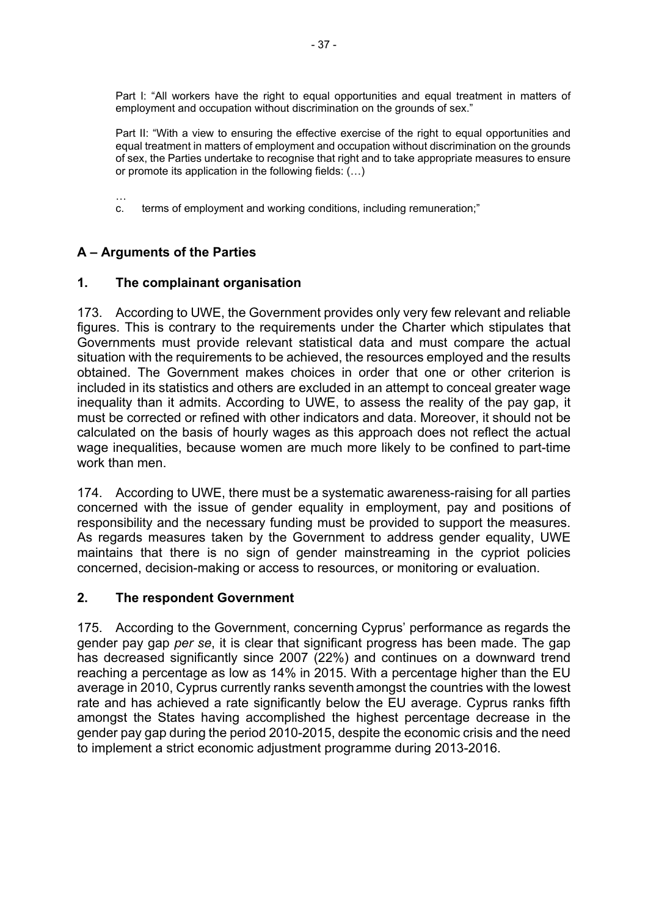Part I: "All workers have the right to equal opportunities and equal treatment in matters of employment and occupation without discrimination on the grounds of sex."

Part II: "With a view to ensuring the effective exercise of the right to equal opportunities and equal treatment in matters of employment and occupation without discrimination on the grounds of sex, the Parties undertake to recognise that right and to take appropriate measures to ensure or promote its application in the following fields: (…)

c. terms of employment and working conditions, including remuneration;"

# **A – Arguments of the Parties**

…

# **1. The complainant organisation**

173. According to UWE, the Government provides only very few relevant and reliable figures. This is contrary to the requirements under the Charter which stipulates that Governments must provide relevant statistical data and must compare the actual situation with the requirements to be achieved, the resources employed and the results obtained. The Government makes choices in order that one or other criterion is included in its statistics and others are excluded in an attempt to conceal greater wage inequality than it admits. According to UWE, to assess the reality of the pay gap, it must be corrected or refined with other indicators and data. Moreover, it should not be calculated on the basis of hourly wages as this approach does not reflect the actual wage inequalities, because women are much more likely to be confined to part-time work than men.

174. According to UWE, there must be a systematic awareness-raising for all parties concerned with the issue of gender equality in employment, pay and positions of responsibility and the necessary funding must be provided to support the measures. As regards measures taken by the Government to address gender equality, UWE maintains that there is no sign of gender mainstreaming in the cypriot policies concerned, decision-making or access to resources, or monitoring or evaluation.

### **2. The respondent Government**

175. According to the Government, concerning Cyprus' performance as regards the gender pay gap *per se*, it is clear that significant progress has been made. The gap has decreased significantly since 2007 (22%) and continues on a downward trend reaching a percentage as low as 14% in 2015. With a percentage higher than the EU average in 2010, Cyprus currently ranks seventhamongst the countries with the lowest rate and has achieved a rate significantly below the EU average. Cyprus ranks fifth amongst the States having accomplished the highest percentage decrease in the gender pay gap during the period 2010-2015, despite the economic crisis and the need to implement a strict economic adjustment programme during 2013-2016.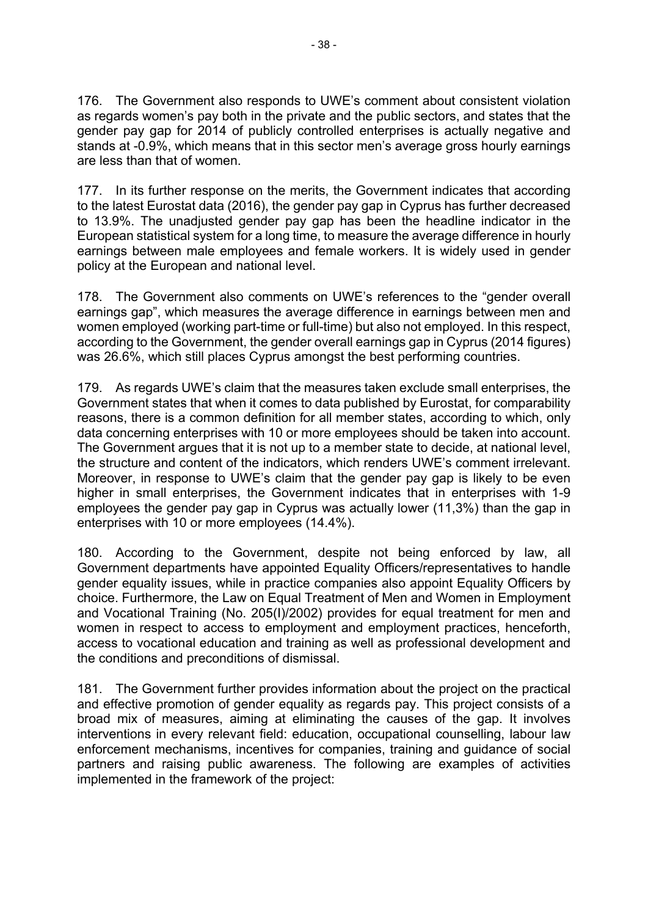176. The Government also responds to UWE's comment about consistent violation as regards women's pay both in the private and the public sectors, and states that the gender pay gap for 2014 of publicly controlled enterprises is actually negative and stands at -0.9%, which means that in this sector men's average gross hourly earnings are less than that of women.

177. In its further response on the merits, the Government indicates that according to the latest Eurostat data (2016), the gender pay gap in Cyprus has further decreased to 13.9%. The unadjusted gender pay gap has been the headline indicator in the European statistical system for a long time, to measure the average difference in hourly earnings between male employees and female workers. It is widely used in gender policy at the European and national level.

178. The Government also comments on UWE's references to the "gender overall earnings gap", which measures the average difference in earnings between men and women employed (working part-time or full-time) but also not employed. In this respect, according to the Government, the gender overall earnings gap in Cyprus (2014 figures) was 26.6%, which still places Cyprus amongst the best performing countries.

179. As regards UWE's claim that the measures taken exclude small enterprises, the Government states that when it comes to data published by Eurostat, for comparability reasons, there is a common definition for all member states, according to which, only data concerning enterprises with 10 or more employees should be taken into account. The Government argues that it is not up to a member state to decide, at national level, the structure and content of the indicators, which renders UWE's comment irrelevant. Moreover, in response to UWE's claim that the gender pay gap is likely to be even higher in small enterprises, the Government indicates that in enterprises with 1-9 employees the gender pay gap in Cyprus was actually lower (11,3%) than the gap in enterprises with 10 or more employees (14.4%).

180. According to the Government, despite not being enforced by law, all Government departments have appointed Equality Officers/representatives to handle gender equality issues, while in practice companies also appoint Equality Officers by choice. Furthermore, the Law on Equal Treatment of Men and Women in Employment and Vocational Training (No. 205(I)/2002) provides for equal treatment for men and women in respect to access to employment and employment practices, henceforth, access to vocational education and training as well as professional development and the conditions and preconditions of dismissal.

181. The Government further provides information about the project on the practical and effective promotion of gender equality as regards pay. This project consists of a broad mix of measures, aiming at eliminating the causes of the gap. It involves interventions in every relevant field: education, occupational counselling, labour law enforcement mechanisms, incentives for companies, training and guidance of social partners and raising public awareness. The following are examples of activities implemented in the framework of the project: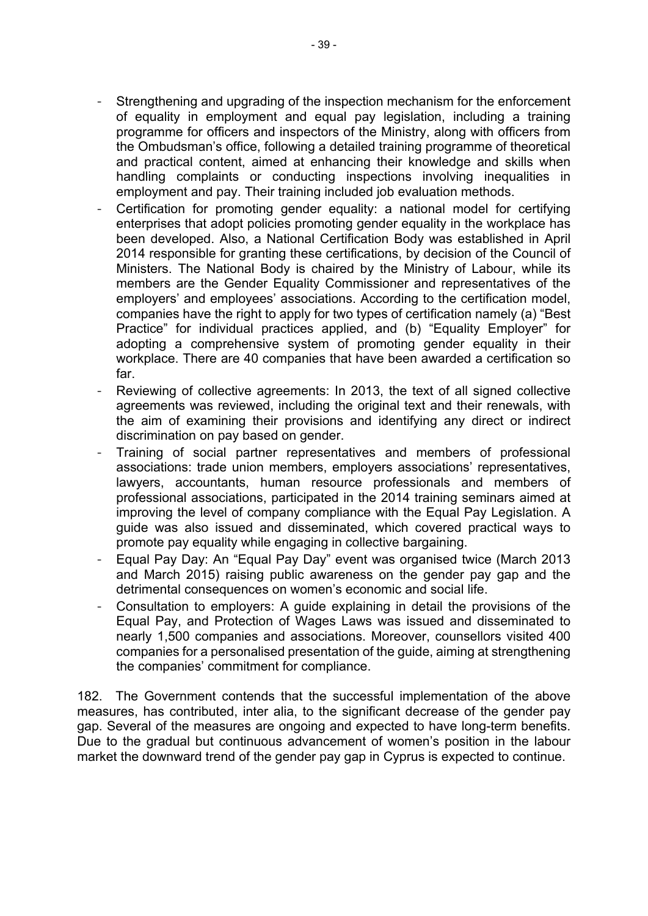- Strengthening and upgrading of the inspection mechanism for the enforcement of equality in employment and equal pay legislation, including a training programme for officers and inspectors of the Ministry, along with officers from the Ombudsman's office, following a detailed training programme of theoretical and practical content, aimed at enhancing their knowledge and skills when handling complaints or conducting inspections involving inequalities in employment and pay. Their training included job evaluation methods.
- Certification for promoting gender equality: a national model for certifying enterprises that adopt policies promoting gender equality in the workplace has been developed. Also, a National Certification Body was established in April 2014 responsible for granting these certifications, by decision of the Council of Ministers. The National Body is chaired by the Ministry of Labour, while its members are the Gender Equality Commissioner and representatives of the employers' and employees' associations. According to the certification model, companies have the right to apply for two types of certification namely (a) "Best Practice" for individual practices applied, and (b) "Equality Employer" for adopting a comprehensive system of promoting gender equality in their workplace. There are 40 companies that have been awarded a certification so far.
- Reviewing of collective agreements: In 2013, the text of all signed collective agreements was reviewed, including the original text and their renewals, with the aim of examining their provisions and identifying any direct or indirect discrimination on pay based on gender.
- Training of social partner representatives and members of professional associations: trade union members, employers associations' representatives, lawyers, accountants, human resource professionals and members of professional associations, participated in the 2014 training seminars aimed at improving the level of company compliance with the Equal Pay Legislation. A guide was also issued and disseminated, which covered practical ways to promote pay equality while engaging in collective bargaining.
- Equal Pay Day: An "Equal Pay Day" event was organised twice (March 2013 and March 2015) raising public awareness on the gender pay gap and the detrimental consequences on women's economic and social life.
- Consultation to employers: A guide explaining in detail the provisions of the Equal Pay, and Protection of Wages Laws was issued and disseminated to nearly 1,500 companies and associations. Moreover, counsellors visited 400 companies for a personalised presentation of the guide, aiming at strengthening the companies' commitment for compliance.

182. The Government contends that the successful implementation of the above measures, has contributed, inter alia, to the significant decrease of the gender pay gap. Several of the measures are ongoing and expected to have long-term benefits. Due to the gradual but continuous advancement of women's position in the labour market the downward trend of the gender pay gap in Cyprus is expected to continue.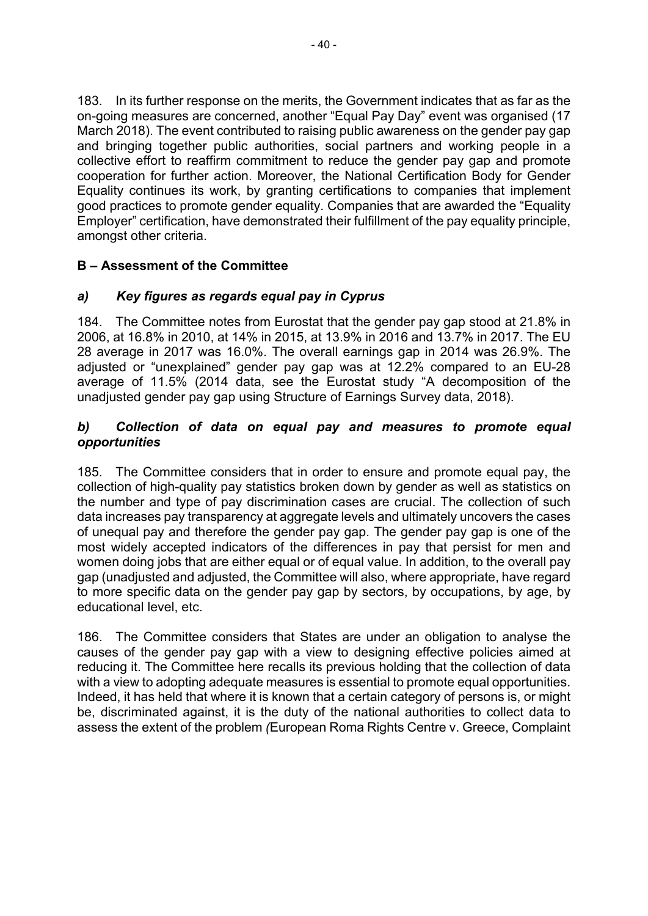183. In its further response on the merits, the Government indicates that as far as the on-going measures are concerned, another "Equal Pay Day" event was organised (17 March 2018). The event contributed to raising public awareness on the gender pay gap and bringing together public authorities, social partners and working people in a collective effort to reaffirm commitment to reduce the gender pay gap and promote cooperation for further action. Moreover, the National Certification Body for Gender Equality continues its work, by granting certifications to companies that implement good practices to promote gender equality. Companies that are awarded the "Equality Employer" certification, have demonstrated their fulfillment of the pay equality principle, amongst other criteria.

# **B – Assessment of the Committee**

# *a) Key figures as regards equal pay in Cyprus*

184. The Committee notes from Eurostat that the gender pay gap stood at 21.8% in 2006, at 16.8% in 2010, at 14% in 2015, at 13.9% in 2016 and 13.7% in 2017. The EU 28 average in 2017 was 16.0%. The overall earnings gap in 2014 was 26.9%. The adjusted or "unexplained" gender pay gap was at 12.2% compared to an EU-28 average of 11.5% (2014 data, see the Eurostat study "A decomposition of the unadjusted gender pay gap using Structure of Earnings Survey data, 2018).

# *b) Collection of data on equal pay and measures to promote equal opportunities*

185. The Committee considers that in order to ensure and promote equal pay, the collection of high-quality pay statistics broken down by gender as well as statistics on the number and type of pay discrimination cases are crucial. The collection of such data increases pay transparency at aggregate levels and ultimately uncovers the cases of unequal pay and therefore the gender pay gap. The gender pay gap is one of the most widely accepted indicators of the differences in pay that persist for men and women doing jobs that are either equal or of equal value. In addition, to the overall pay gap (unadjusted and adjusted, the Committee will also, where appropriate, have regard to more specific data on the gender pay gap by sectors, by occupations, by age, by educational level, etc.

186. The Committee considers that States are under an obligation to analyse the causes of the gender pay gap with a view to designing effective policies aimed at reducing it. The Committee here recalls its previous holding that the collection of data with a view to adopting adequate measures is essential to promote equal opportunities. Indeed, it has held that where it is known that a certain category of persons is, or might be, discriminated against, it is the duty of the national authorities to collect data to assess the extent of the problem *(*European Roma Rights Centre v. Greece, Complaint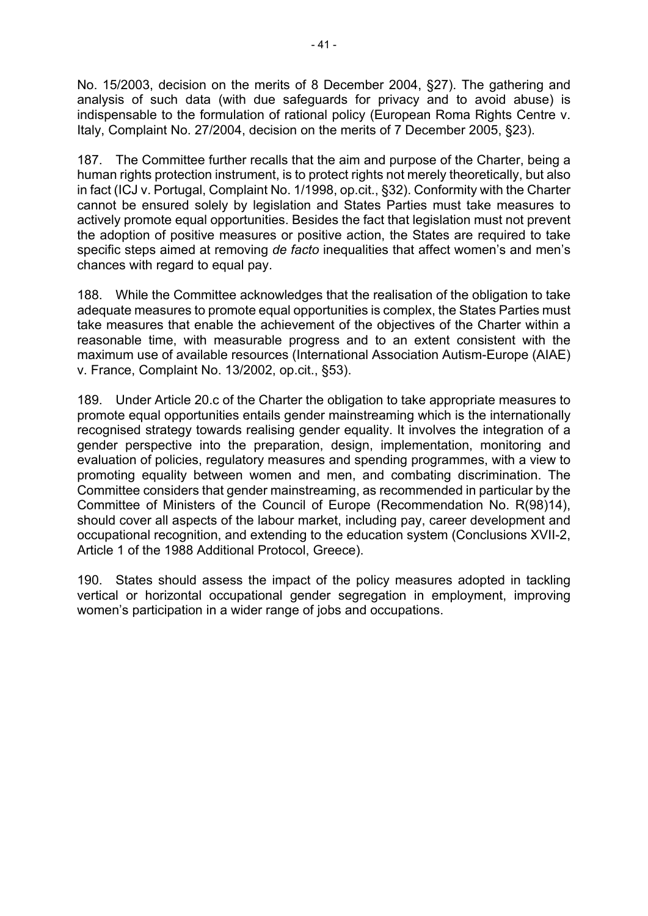No. 15/2003, decision on the merits of 8 December 2004, §27). The gathering and analysis of such data (with due safeguards for privacy and to avoid abuse) is indispensable to the formulation of rational policy (European Roma Rights Centre v. Italy, Complaint No. 27/2004, decision on the merits of 7 December 2005, §23).

187. The Committee further recalls that the aim and purpose of the Charter, being a human rights protection instrument, is to protect rights not merely theoretically, but also in fact (ICJ v. Portugal, Complaint No. 1/1998, op.cit., §32). Conformity with the Charter cannot be ensured solely by legislation and States Parties must take measures to actively promote equal opportunities. Besides the fact that legislation must not prevent the adoption of positive measures or positive action, the States are required to take specific steps aimed at removing *de facto* inequalities that affect women's and men's chances with regard to equal pay.

188. While the Committee acknowledges that the realisation of the obligation to take adequate measures to promote equal opportunities is complex, the States Parties must take measures that enable the achievement of the objectives of the Charter within a reasonable time, with measurable progress and to an extent consistent with the maximum use of available resources (International Association Autism-Europe (AIAE) v. France, Complaint No. 13/2002, op.cit., §53).

189. Under Article 20.c of the Charter the obligation to take appropriate measures to promote equal opportunities entails gender mainstreaming which is the internationally recognised strategy towards realising gender equality. It involves the integration of a gender perspective into the preparation, design, implementation, monitoring and evaluation of policies, regulatory measures and spending programmes, with a view to promoting equality between women and men, and combating discrimination. The Committee considers that gender mainstreaming, as recommended in particular by the Committee of Ministers of the Council of Europe (Recommendation No. R(98)14), should cover all aspects of the labour market, including pay, career development and occupational recognition, and extending to the education system (Conclusions XVII-2, Article 1 of the 1988 Additional Protocol, Greece).

190. States should assess the impact of the policy measures adopted in tackling vertical or horizontal occupational gender segregation in employment, improving women's participation in a wider range of jobs and occupations.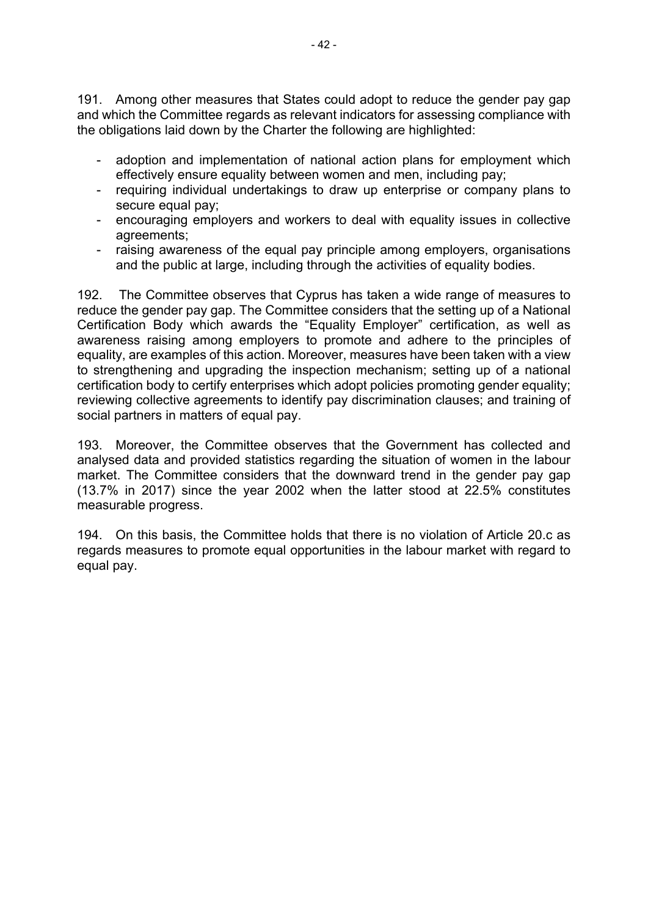191. Among other measures that States could adopt to reduce the gender pay gap and which the Committee regards as relevant indicators for assessing compliance with the obligations laid down by the Charter the following are highlighted:

- adoption and implementation of national action plans for employment which effectively ensure equality between women and men, including pay;
- requiring individual undertakings to draw up enterprise or company plans to secure equal pay;
- encouraging employers and workers to deal with equality issues in collective agreements;
- raising awareness of the equal pay principle among employers, organisations and the public at large, including through the activities of equality bodies.

192. The Committee observes that Cyprus has taken a wide range of measures to reduce the gender pay gap. The Committee considers that the setting up of a National Certification Body which awards the "Equality Employer" certification, as well as awareness raising among employers to promote and adhere to the principles of equality, are examples of this action. Moreover, measures have been taken with a view to strengthening and upgrading the inspection mechanism; setting up of a national certification body to certify enterprises which adopt policies promoting gender equality; reviewing collective agreements to identify pay discrimination clauses; and training of social partners in matters of equal pay.

193. Moreover, the Committee observes that the Government has collected and analysed data and provided statistics regarding the situation of women in the labour market. The Committee considers that the downward trend in the gender pay gap (13.7% in 2017) since the year 2002 when the latter stood at 22.5% constitutes measurable progress.

194. On this basis, the Committee holds that there is no violation of Article 20.c as regards measures to promote equal opportunities in the labour market with regard to equal pay.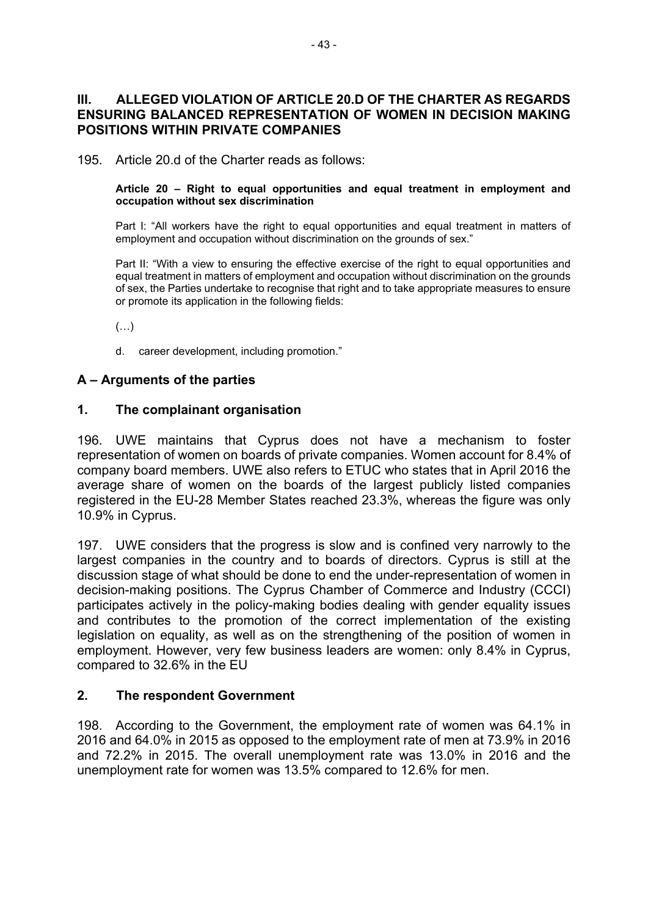### **III. ALLEGED VIOLATION OF ARTICLE 20.D OF THE CHARTER AS REGARDS ENSURING BALANCED REPRESENTATION OF WOMEN IN DECISION MAKING POSITIONS WITHIN PRIVATE COMPANIES**

195. Article 20.d of the Charter reads as follows:

#### **Article 20 – Right to equal opportunities and equal treatment in employment and occupation without sex discrimination**

Part I: "All workers have the right to equal opportunities and equal treatment in matters of employment and occupation without discrimination on the grounds of sex."

Part II: "With a view to ensuring the effective exercise of the right to equal opportunities and equal treatment in matters of employment and occupation without discrimination on the grounds of sex, the Parties undertake to recognise that right and to take appropriate measures to ensure or promote its application in the following fields:

(…)

d. career development, including promotion."

#### **A – Arguments of the parties**

#### **1. The complainant organisation**

196. UWE maintains that Cyprus does not have a mechanism to foster representation of women on boards of private companies. Women account for 8.4% of company board members. UWE also refers to ETUC who states that in April 2016 the average share of women on the boards of the largest publicly listed companies registered in the EU-28 Member States reached 23.3%, whereas the figure was only 10.9% in Cyprus.

197. UWE considers that the progress is slow and is confined very narrowly to the largest companies in the country and to boards of directors. Cyprus is still at the discussion stage of what should be done to end the under-representation of women in decision-making positions. The Cyprus Chamber of Commerce and Industry (CCCI) participates actively in the policy-making bodies dealing with gender equality issues and contributes to the promotion of the correct implementation of the existing legislation on equality, as well as on the strengthening of the position of women in employment. However, very few business leaders are women: only 8.4% in Cyprus, compared to 32.6% in the EU

#### **2. The respondent Government**

198. According to the Government, the employment rate of women was 64.1% in 2016 and 64.0% in 2015 as opposed to the employment rate of men at 73.9% in 2016 and 72.2% in 2015. The overall unemployment rate was 13.0% in 2016 and the unemployment rate for women was 13.5% compared to 12.6% for men.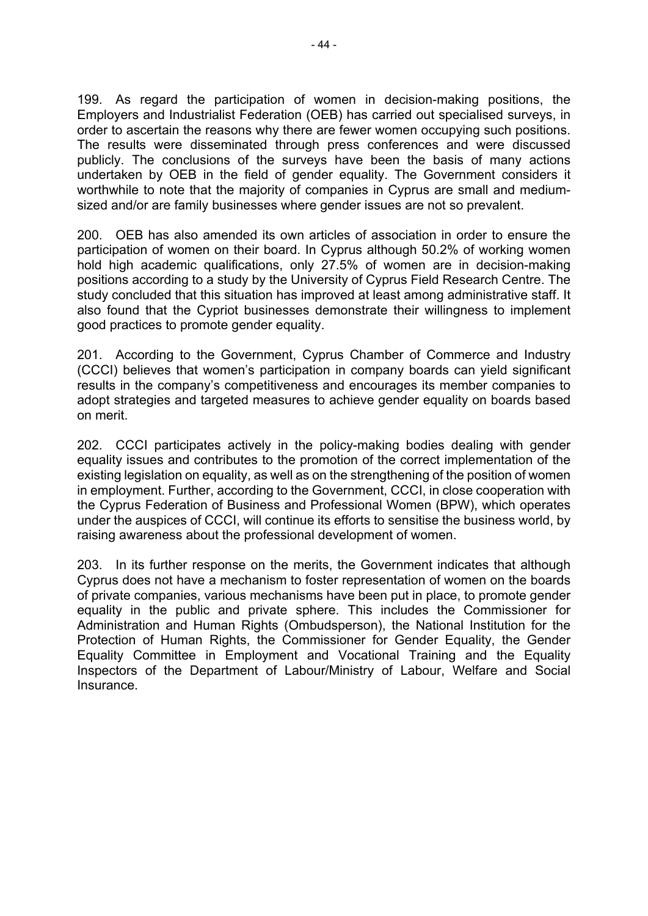199. As regard the participation of women in decision-making positions, the Employers and Industrialist Federation (OEB) has carried out specialised surveys, in order to ascertain the reasons why there are fewer women occupying such positions. The results were disseminated through press conferences and were discussed publicly. The conclusions of the surveys have been the basis of many actions undertaken by OEB in the field of gender equality. The Government considers it worthwhile to note that the majority of companies in Cyprus are small and mediumsized and/or are family businesses where gender issues are not so prevalent.

200. OEB has also amended its own articles of association in order to ensure the participation of women on their board. In Cyprus although 50.2% of working women hold high academic qualifications, only 27.5% of women are in decision-making positions according to a study by the University of Cyprus Field Research Centre. The study concluded that this situation has improved at least among administrative staff. It also found that the Cypriot businesses demonstrate their willingness to implement good practices to promote gender equality.

201. According to the Government, Cyprus Chamber of Commerce and Industry (CCCI) believes that women's participation in company boards can yield significant results in the company's competitiveness and encourages its member companies to adopt strategies and targeted measures to achieve gender equality on boards based on merit.

202. CCCI participates actively in the policy-making bodies dealing with gender equality issues and contributes to the promotion of the correct implementation of the existing legislation on equality, as well as on the strengthening of the position of women in employment. Further, according to the Government, CCCI, in close cooperation with the Cyprus Federation of Business and Professional Women (BPW), which operates under the auspices of CCCI, will continue its efforts to sensitise the business world, by raising awareness about the professional development of women.

203. In its further response on the merits, the Government indicates that although Cyprus does not have a mechanism to foster representation of women on the boards of private companies, various mechanisms have been put in place, to promote gender equality in the public and private sphere. This includes the Commissioner for Administration and Human Rights (Ombudsperson), the National Institution for the Protection of Human Rights, the Commissioner for Gender Equality, the Gender Equality Committee in Employment and Vocational Training and the Equality Inspectors of the Department of Labour/Ministry of Labour, Welfare and Social Insurance.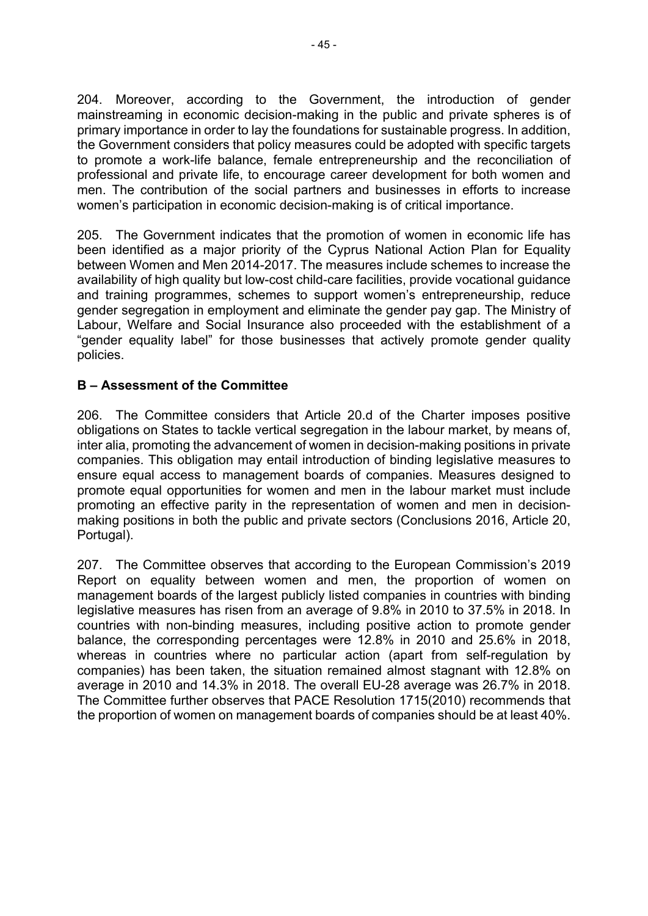204. Moreover, according to the Government, the introduction of gender mainstreaming in economic decision-making in the public and private spheres is of primary importance in order to lay the foundations for sustainable progress. In addition, the Government considers that policy measures could be adopted with specific targets to promote a work-life balance, female entrepreneurship and the reconciliation of professional and private life, to encourage career development for both women and men. The contribution of the social partners and businesses in efforts to increase women's participation in economic decision-making is of critical importance.

205. The Government indicates that the promotion of women in economic life has been identified as a major priority of the Cyprus National Action Plan for Equality between Women and Men 2014-2017. The measures include schemes to increase the availability of high quality but low-cost child-care facilities, provide vocational guidance and training programmes, schemes to support women's entrepreneurship, reduce gender segregation in employment and eliminate the gender pay gap. The Ministry of Labour, Welfare and Social Insurance also proceeded with the establishment of a "gender equality label" for those businesses that actively promote gender quality policies.

# **B – Assessment of the Committee**

206. The Committee considers that Article 20.d of the Charter imposes positive obligations on States to tackle vertical segregation in the labour market, by means of, inter alia, promoting the advancement of women in decision-making positions in private companies. This obligation may entail introduction of binding legislative measures to ensure equal access to management boards of companies. Measures designed to promote equal opportunities for women and men in the labour market must include promoting an effective parity in the representation of women and men in decisionmaking positions in both the public and private sectors (Conclusions 2016, Article 20, Portugal).

207. The Committee observes that according to the European Commission's 2019 Report on equality between women and men, the proportion of women on management boards of the largest publicly listed companies in countries with binding legislative measures has risen from an average of 9.8% in 2010 to 37.5% in 2018. In countries with non-binding measures, including positive action to promote gender balance, the corresponding percentages were 12.8% in 2010 and 25.6% in 2018, whereas in countries where no particular action (apart from self-regulation by companies) has been taken, the situation remained almost stagnant with 12.8% on average in 2010 and 14.3% in 2018. The overall EU-28 average was 26.7% in 2018. The Committee further observes that PACE Resolution 1715(2010) recommends that the proportion of women on management boards of companies should be at least 40%.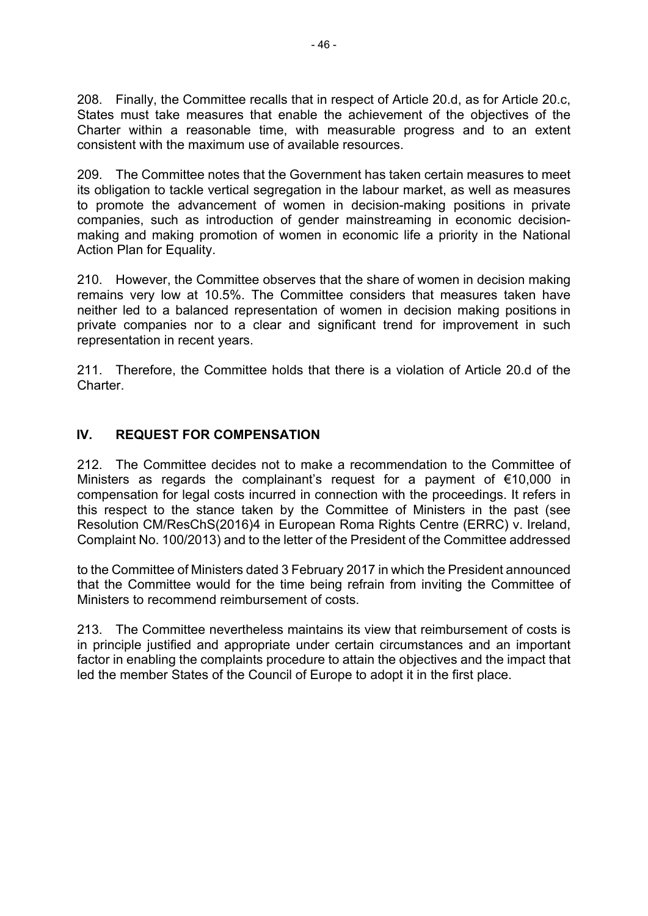208. Finally, the Committee recalls that in respect of Article 20.d, as for Article 20.c, States must take measures that enable the achievement of the objectives of the Charter within a reasonable time, with measurable progress and to an extent consistent with the maximum use of available resources.

209. The Committee notes that the Government has taken certain measures to meet its obligation to tackle vertical segregation in the labour market, as well as measures to promote the advancement of women in decision-making positions in private companies, such as introduction of gender mainstreaming in economic decisionmaking and making promotion of women in economic life a priority in the National Action Plan for Equality.

210. However, the Committee observes that the share of women in decision making remains very low at 10.5%. The Committee considers that measures taken have neither led to a balanced representation of women in decision making positions in private companies nor to a clear and significant trend for improvement in such representation in recent years.

211. Therefore, the Committee holds that there is a violation of Article 20.d of the Charter.

# **IV. REQUEST FOR COMPENSATION**

212. The Committee decides not to make a recommendation to the Committee of Ministers as regards the complainant's request for a payment of  $€10,000$  in compensation for legal costs incurred in connection with the proceedings. It refers in this respect to the stance taken by the Committee of Ministers in the past (see Resolution CM/ResChS(2016)4 in European Roma Rights Centre (ERRC) v. Ireland, Complaint No. 100/2013) and to the letter of the President of the Committee addressed

to the Committee of Ministers dated 3 February 2017 in which the President announced that the Committee would for the time being refrain from inviting the Committee of Ministers to recommend reimbursement of costs.

213. The Committee nevertheless maintains its view that reimbursement of costs is in principle justified and appropriate under certain circumstances and an important factor in enabling the complaints procedure to attain the objectives and the impact that led the member States of the Council of Europe to adopt it in the first place.